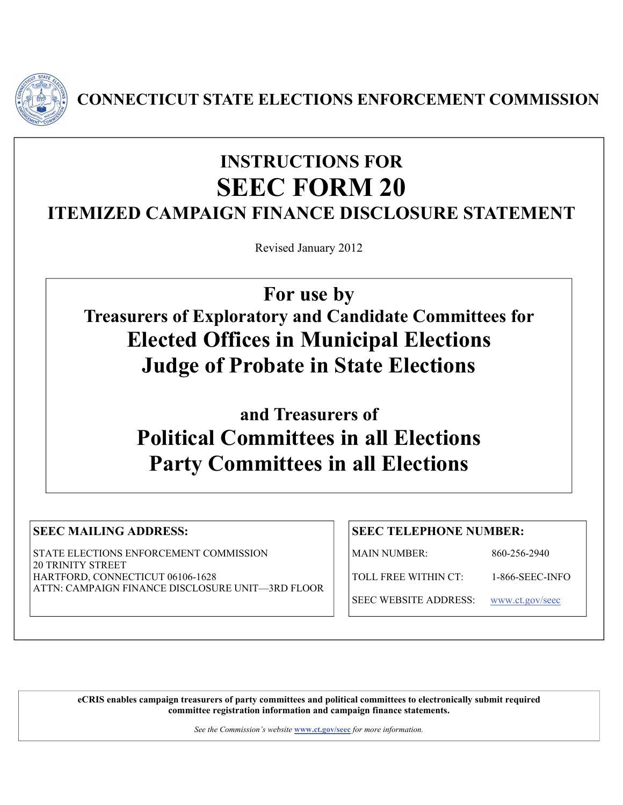

**CONNECTICUT STATE ELECTIONS ENFORCEMENT COMMISSION** 

# **INSTRUCTIONS FOR SEEC FORM 20 ITEMIZED CAMPAIGN FINANCE DISCLOSURE STATEMENT**

Revised January 2012

**For use by Treasurers of Exploratory and Candidate Committees for Elected Offices in Municipal Elections Judge of Probate in State Elections** 

> **and Treasurers of Political Committees in all Elections Party Committees in all Elections**

### **SEEC MAILING ADDRESS:**

STATE ELECTIONS ENFORCEMENT COMMISSION 20 TRINITY STREET HARTFORD, CONNECTICUT 06106-1628 ATTN: CAMPAIGN FINANCE DISCLOSURE UNIT—3RD FLOOR

#### **SEEC TELEPHONE NUMBER:**

MAIN NUMBER: 860-256-2940

TOLL FREE WITHIN CT: 1-866-SEEC-INFO

SEEC WEBSITE ADDRESS: [www.ct.gov/seec](http://www.ct.gov/seec)

**eCRIS enables campaign treasurers of party committees and political committees to electronically submit required committee registration information and campaign finance statements.** 

*See the Commission's website* **[www.ct.gov/seec](http://www.ct.gov/seec)** *for more information.*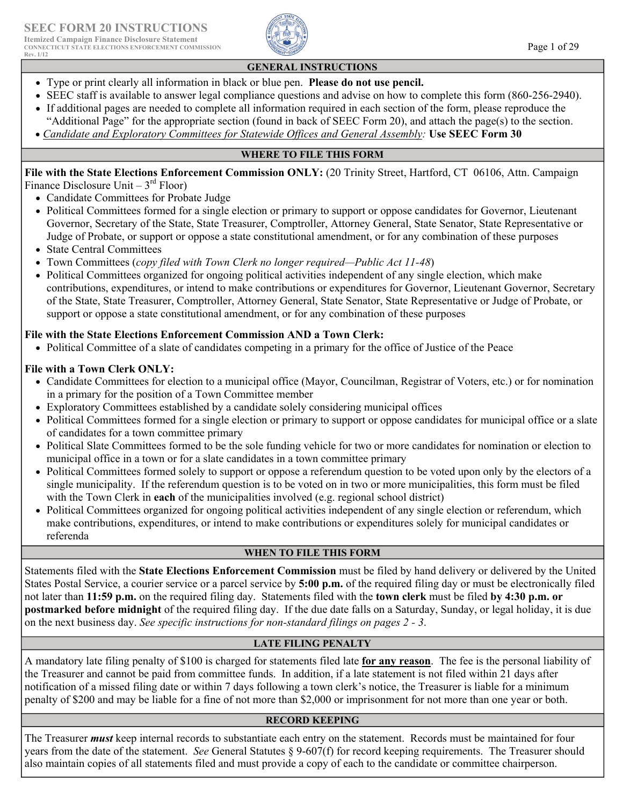#### **GENERAL INSTRUCTIONS**

- Type or print clearly all information in black or blue pen. **Please do not use pencil.**
- SEEC staff is available to answer legal compliance questions and advise on how to complete this form (860-256-2940).
- If additional pages are needed to complete all information required in each section of the form, please reproduce the "Additional Page" for the appropriate section (found in back of SEEC Form 20), and attach the page(s) to the section.
- *Candidate and Exploratory Committees for Statewide Offices and General Assembly:* **Use SEEC Form 30**

#### **WHERE TO FILE THIS FORM**

File with the State Elections Enforcement Commission ONLY: (20 Trinity Street, Hartford, CT 06106, Attn. Campaign Finance Disclosure Unit  $-3<sup>rd</sup>$  Floor)

- Candidate Committees for Probate Judge
- Political Committees formed for a single election or primary to support or oppose candidates for Governor, Lieutenant Governor, Secretary of the State, State Treasurer, Comptroller, Attorney General, State Senator, State Representative or Judge of Probate, or support or oppose a state constitutional amendment, or for any combination of these purposes
- State Central Committees
- Town Committees (*copy filed with Town Clerk no longer required—Public Act 11-48*)
- Political Committees organized for ongoing political activities independent of any single election, which make contributions, expenditures, or intend to make contributions or expenditures for Governor, Lieutenant Governor, Secretary of the State, State Treasurer, Comptroller, Attorney General, State Senator, State Representative or Judge of Probate, or support or oppose a state constitutional amendment, or for any combination of these purposes

#### **File with the State Elections Enforcement Commission AND a Town Clerk:**

• Political Committee of a slate of candidates competing in a primary for the office of Justice of the Peace

#### **File with a Town Clerk ONLY:**

- Candidate Committees for election to a municipal office (Mayor, Councilman, Registrar of Voters, etc.) or for nomination in a primary for the position of a Town Committee member
- Exploratory Committees established by a candidate solely considering municipal offices
- Political Committees formed for a single election or primary to support or oppose candidates for municipal office or a slate of candidates for a town committee primary
- Political Slate Committees formed to be the sole funding vehicle for two or more candidates for nomination or election to municipal office in a town or for a slate candidates in a town committee primary
- Political Committees formed solely to support or oppose a referendum question to be voted upon only by the electors of a single municipality. If the referendum question is to be voted on in two or more municipalities, this form must be filed with the Town Clerk in **each** of the municipalities involved (e.g. regional school district)
- Political Committees organized for ongoing political activities independent of any single election or referendum, which make contributions, expenditures, or intend to make contributions or expenditures solely for municipal candidates or referenda

#### **WHEN TO FILE THIS FORM**

Statements filed with the **State Elections Enforcement Commission** must be filed by hand delivery or delivered by the United States Postal Service, a courier service or a parcel service by **5:00 p.m.** of the required filing day or must be electronically filed not later than **11:59 p.m.** on the required filing day. Statements filed with the **town clerk** must be filed **by 4:30 p.m. or postmarked before midnight** of the required filing day. If the due date falls on a Saturday, Sunday, or legal holiday, it is due on the next business day. *See specific instructions for non-standard filings on pages 2 - 3*.

#### **LATE FILING PENALTY**

A mandatory late filing penalty of \$100 is charged for statements filed late **for any reason**. The fee is the personal liability of the Treasurer and cannot be paid from committee funds. In addition, if a late statement is not filed within 21 days after notification of a missed filing date or within 7 days following a town clerk's notice, the Treasurer is liable for a minimum penalty of \$200 and may be liable for a fine of not more than \$2,000 or imprisonment for not more than one year or both.

#### **RECORD KEEPING**

The Treasurer *must* keep internal records to substantiate each entry on the statement. Records must be maintained for four years from the date of the statement. *See* General Statutes § 9-607(f) for record keeping requirements. The Treasurer should also maintain copies of all statements filed and must provide a copy of each to the candidate or committee chairperson.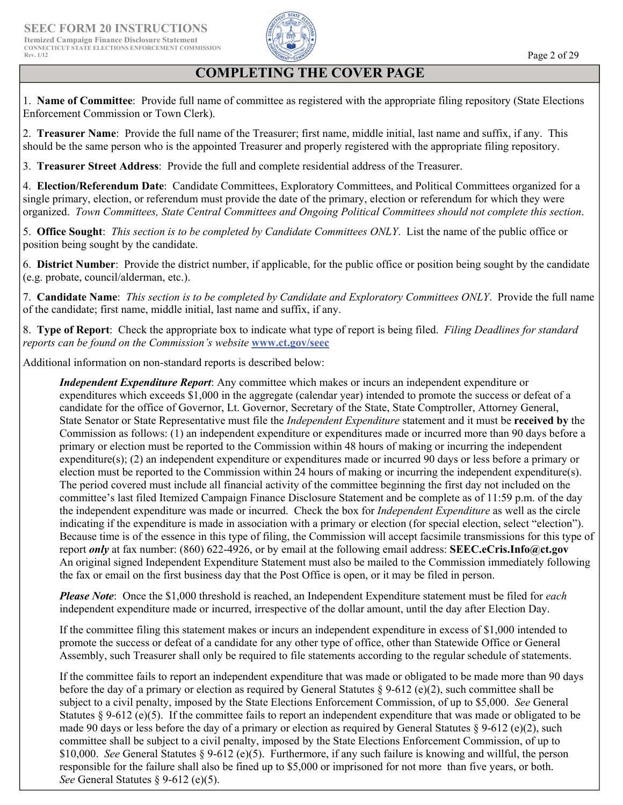

# **COMPLETING THE COVER PAGE**

1. **Name of Committee**: Provide full name of committee as registered with the appropriate filing repository (State Elections Enforcement Commission or Town Clerk).

2. **Treasurer Name**: Provide the full name of the Treasurer; first name, middle initial, last name and suffix, if any. This should be the same person who is the appointed Treasurer and properly registered with the appropriate filing repository.

3. **Treasurer Street Address**: Provide the full and complete residential address of the Treasurer.

4. **Election/Referendum Date**: Candidate Committees, Exploratory Committees, and Political Committees organized for a single primary, election, or referendum must provide the date of the primary, election or referendum for which they were organized. *Town Committees, State Central Committees and Ongoing Political Committees should not complete this section*.

5. **Office Sought**: *This section is to be completed by Candidate Committees ONLY*. List the name of the public office or position being sought by the candidate.

6. **District Number**: Provide the district number, if applicable, for the public office or position being sought by the candidate (e.g. probate, council/alderman, etc.).

7. **Candidate Name**: *This section is to be completed by Candidate and Exploratory Committees ONLY*. Provide the full name of the candidate; first name, middle initial, last name and suffix, if any.

8. **Type of Report**: Check the appropriate box to indicate what type of report is being filed. *Filing Deadlines for standard reports can be found on the Commission's website* **[www.ct.gov/seec](http://www.ct.gov/seec)**

Additional information on non-standard reports is described below:

*Independent Expenditure Report*: Any committee which makes or incurs an independent expenditure or expenditures which exceeds \$1,000 in the aggregate (calendar year) intended to promote the success or defeat of a candidate for the office of Governor, Lt. Governor, Secretary of the State, State Comptroller, Attorney General, State Senator or State Representative must file the *Independent Expenditure* statement and it must be **received by** the Commission as follows: (1) an independent expenditure or expenditures made or incurred more than 90 days before a primary or election must be reported to the Commission within 48 hours of making or incurring the independent expenditure(s); (2) an independent expenditure or expenditures made or incurred 90 days or less before a primary or election must be reported to the Commission within 24 hours of making or incurring the independent expenditure(s). The period covered must include all financial activity of the committee beginning the first day not included on the committee's last filed Itemized Campaign Finance Disclosure Statement and be complete as of 11:59 p.m. of the day the independent expenditure was made or incurred. Check the box for *Independent Expenditure* as well as the circle indicating if the expenditure is made in association with a primary or election (for special election, select "election"). Because time is of the essence in this type of filing, the Commission will accept facsimile transmissions for this type of report *only* at fax number: (860) 622-4926, or by email at the following email address: **SEEC.eCris.Info@ct.gov**  An original signed Independent Expenditure Statement must also be mailed to the Commission immediately following the fax or email on the first business day that the Post Office is open, or it may be filed in person.

*Please Note*: Once the \$1,000 threshold is reached, an Independent Expenditure statement must be filed for *each* independent expenditure made or incurred, irrespective of the dollar amount, until the day after Election Day.

If the committee filing this statement makes or incurs an independent expenditure in excess of \$1,000 intended to promote the success or defeat of a candidate for any other type of office, other than Statewide Office or General Assembly, such Treasurer shall only be required to file statements according to the regular schedule of statements.

 If the committee fails to report an independent expenditure that was made or obligated to be made more than 90 days before the day of a primary or election as required by General Statutes § 9-612 (e)(2), such committee shall be subject to a civil penalty, imposed by the State Elections Enforcement Commission, of up to \$5,000. *See* General Statutes  $\S$  9-612 (e)(5). If the committee fails to report an independent expenditure that was made or obligated to be made 90 days or less before the day of a primary or election as required by General Statutes  $\S$  9-612 (e)(2), such committee shall be subject to a civil penalty, imposed by the State Elections Enforcement Commission, of up to \$10,000. *See* General Statutes § 9-612 (e)(5). Furthermore, if any such failure is knowing and willful, the person responsible for the failure shall also be fined up to \$5,000 or imprisoned for not more than five years, or both. *See* General Statutes § 9-612 (e)(5).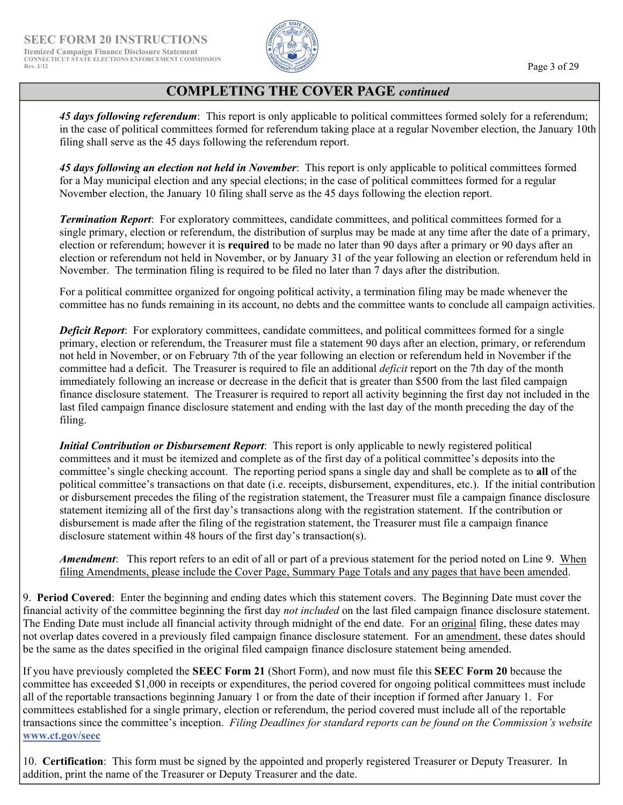

### **COMPLETING THE COVER PAGE** *continued*

*45 days following referendum*: This report is only applicable to political committees formed solely for a referendum; in the case of political committees formed for referendum taking place at a regular November election, the January 10th filing shall serve as the 45 days following the referendum report.

*45 days following an election not held in November*: This report is only applicable to political committees formed for a May municipal election and any special elections; in the case of political committees formed for a regular November election, the January 10 filing shall serve as the 45 days following the election report.

*Termination Report*: For exploratory committees, candidate committees, and political committees formed for a single primary, election or referendum, the distribution of surplus may be made at any time after the date of a primary, election or referendum; however it is **required** to be made no later than 90 days after a primary or 90 days after an election or referendum not held in November, or by January 31 of the year following an election or referendum held in November. The termination filing is required to be filed no later than 7 days after the distribution.

For a political committee organized for ongoing political activity, a termination filing may be made whenever the committee has no funds remaining in its account, no debts and the committee wants to conclude all campaign activities.

*Deficit Report*: For exploratory committees, candidate committees, and political committees formed for a single primary, election or referendum, the Treasurer must file a statement 90 days after an election, primary, or referendum not held in November, or on February 7th of the year following an election or referendum held in November if the committee had a deficit. The Treasurer is required to file an additional *deficit* report on the 7th day of the month immediately following an increase or decrease in the deficit that is greater than \$500 from the last filed campaign finance disclosure statement. The Treasurer is required to report all activity beginning the first day not included in the last filed campaign finance disclosure statement and ending with the last day of the month preceding the day of the filing.

*Initial Contribution or Disbursement Report*: This report is only applicable to newly registered political committees and it must be itemized and complete as of the first day of a political committee's deposits into the committee's single checking account. The reporting period spans a single day and shall be complete as to **all** of the political committee's transactions on that date (i.e. receipts, disbursement, expenditures, etc.). If the initial contribution or disbursement precedes the filing of the registration statement, the Treasurer must file a campaign finance disclosure statement itemizing all of the first day's transactions along with the registration statement. If the contribution or disbursement is made after the filing of the registration statement, the Treasurer must file a campaign finance disclosure statement within 48 hours of the first day's transaction(s).

*Amendment*: This report refers to an edit of all or part of a previous statement for the period noted on Line 9. When filing Amendments, please include the Cover Page, Summary Page Totals and any pages that have been amended.

9. **Period Covered**: Enter the beginning and ending dates which this statement covers. The Beginning Date must cover the financial activity of the committee beginning the first day *not included* on the last filed campaign finance disclosure statement. The Ending Date must include all financial activity through midnight of the end date. For an original filing, these dates may not overlap dates covered in a previously filed campaign finance disclosure statement. For an amendment, these dates should be the same as the dates specified in the original filed campaign finance disclosure statement being amended.

If you have previously completed the **SEEC Form 21** (Short Form), and now must file this **SEEC Form 20** because the committee has exceeded \$1,000 in receipts or expenditures, the period covered for ongoing political committees must include all of the reportable transactions beginning January 1 or from the date of their inception if formed after January 1. For committees established for a single primary, election or referendum, the period covered must include all of the reportable transactions since the committee's inception. *Filing Deadlines for standard reports can be found on the Commission's website* **[www.ct.gov/seec](http://www.ct.gov/seec)**

10. **Certification**: This form must be signed by the appointed and properly registered Treasurer or Deputy Treasurer. In addition, print the name of the Treasurer or Deputy Treasurer and the date.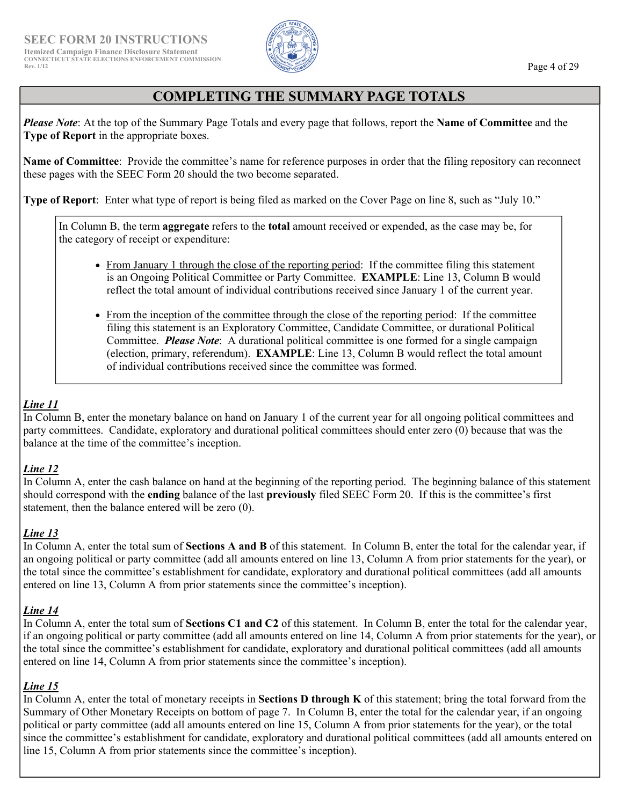

# **COMPLETING THE SUMMARY PAGE TOTALS**

*Please Note*: At the top of the Summary Page Totals and every page that follows, report the **Name of Committee** and the **Type of Report** in the appropriate boxes.

**Name of Committee**:Provide the committee's name for reference purposes in order that the filing repository can reconnect these pages with the SEEC Form 20 should the two become separated.

**Type of Report**: Enter what type of report is being filed as marked on the Cover Page on line 8, such as "July 10."

In Column B, the term **aggregate** refers to the **total** amount received or expended, as the case may be, for the category of receipt or expenditure:

- From January 1 through the close of the reporting period: If the committee filing this statement is an Ongoing Political Committee or Party Committee. **EXAMPLE**: Line 13, Column B would reflect the total amount of individual contributions received since January 1 of the current year.
- From the inception of the committee through the close of the reporting period: If the committee filing this statement is an Exploratory Committee, Candidate Committee, or durational Political Committee. *Please Note*: A durational political committee is one formed for a single campaign (election, primary, referendum). **EXAMPLE**: Line 13, Column B would reflect the total amount of individual contributions received since the committee was formed.

### *Line 11*

In Column B, enter the monetary balance on hand on January 1 of the current year for all ongoing political committees and party committees. Candidate, exploratory and durational political committees should enter zero (0) because that was the balance at the time of the committee's inception.

### *Line 12*

In Column A, enter the cash balance on hand at the beginning of the reporting period. The beginning balance of this statement should correspond with the **ending** balance of the last **previously** filed SEEC Form 20. If this is the committee's first statement, then the balance entered will be zero (0).

### *Line 13*

In Column A, enter the total sum of **Sections A and B** of this statement. In Column B, enter the total for the calendar year, if an ongoing political or party committee (add all amounts entered on line 13, Column A from prior statements for the year), or the total since the committee's establishment for candidate, exploratory and durational political committees (add all amounts entered on line 13, Column A from prior statements since the committee's inception).

### *Line 14*

In Column A, enter the total sum of **Sections C1 and C2** of this statement. In Column B, enter the total for the calendar year, if an ongoing political or party committee (add all amounts entered on line 14, Column A from prior statements for the year), or the total since the committee's establishment for candidate, exploratory and durational political committees (add all amounts entered on line 14, Column A from prior statements since the committee's inception).

#### *Line 15*

In Column A, enter the total of monetary receipts in **Sections D through K** of this statement; bring the total forward from the Summary of Other Monetary Receipts on bottom of page 7. In Column B, enter the total for the calendar year, if an ongoing political or party committee (add all amounts entered on line 15, Column A from prior statements for the year), or the total since the committee's establishment for candidate, exploratory and durational political committees (add all amounts entered on line 15, Column A from prior statements since the committee's inception).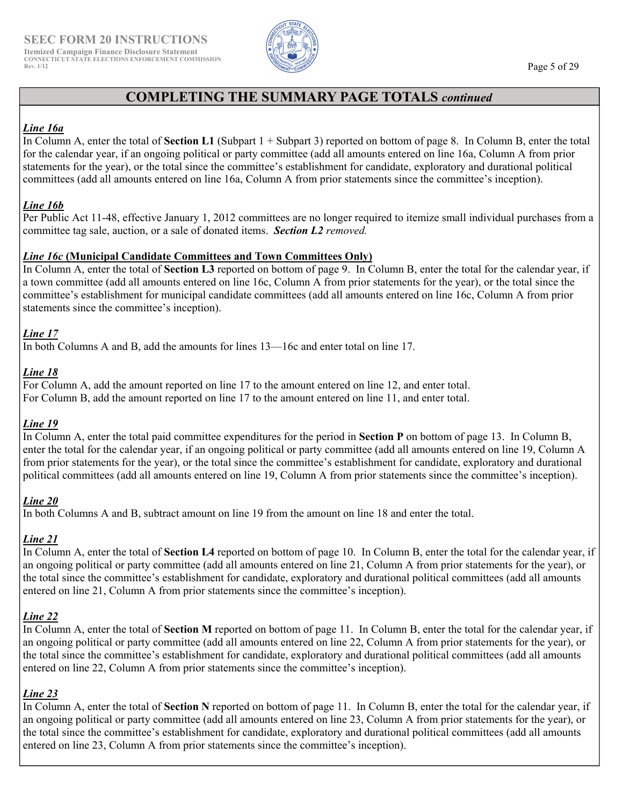

# **COMPLETING THE SUMMARY PAGE TOTALS** *continued*

#### *Line 16a*

In Column A, enter the total of **Section L1** (Subpart 1 + Subpart 3) reported on bottom of page 8. In Column B, enter the total for the calendar year, if an ongoing political or party committee (add all amounts entered on line 16a, Column A from prior statements for the year), or the total since the committee's establishment for candidate, exploratory and durational political committees (add all amounts entered on line 16a, Column A from prior statements since the committee's inception).

#### *Line 16b*

Per Public Act 11-48, effective January 1, 2012 committees are no longer required to itemize small individual purchases from a committee tag sale, auction, or a sale of donated items. *Section L2 removed.* 

#### *Line 16c* **(Municipal Candidate Committees and Town Committees Only)**

In Column A, enter the total of **Section L3** reported on bottom of page 9. In Column B, enter the total for the calendar year, if a town committee (add all amounts entered on line 16c, Column A from prior statements for the year), or the total since the committee's establishment for municipal candidate committees (add all amounts entered on line 16c, Column A from prior statements since the committee's inception).

#### *Line 17*

In both Columns A and B, add the amounts for lines 13—16c and enter total on line 17.

#### *Line 18*

For Column A, add the amount reported on line 17 to the amount entered on line 12, and enter total. For Column B, add the amount reported on line 17 to the amount entered on line 11, and enter total.

#### *Line 19*

In Column A, enter the total paid committee expenditures for the period in **Section P** on bottom of page 13. In Column B, enter the total for the calendar year, if an ongoing political or party committee (add all amounts entered on line 19, Column A from prior statements for the year), or the total since the committee's establishment for candidate, exploratory and durational political committees (add all amounts entered on line 19, Column A from prior statements since the committee's inception).

#### *Line 20*

In both Columns A and B, subtract amount on line 19 from the amount on line 18 and enter the total.

#### *Line 21*

In Column A, enter the total of **Section L4** reported on bottom of page 10. In Column B, enter the total for the calendar year, if an ongoing political or party committee (add all amounts entered on line 21, Column A from prior statements for the year), or the total since the committee's establishment for candidate, exploratory and durational political committees (add all amounts entered on line 21, Column A from prior statements since the committee's inception).

#### *Line 22*

In Column A, enter the total of **Section M** reported on bottom of page 11. In Column B, enter the total for the calendar year, if an ongoing political or party committee (add all amounts entered on line 22, Column A from prior statements for the year), or the total since the committee's establishment for candidate, exploratory and durational political committees (add all amounts entered on line 22, Column A from prior statements since the committee's inception).

#### *Line 23*

In Column A, enter the total of **Section N** reported on bottom of page 11. In Column B, enter the total for the calendar year, if an ongoing political or party committee (add all amounts entered on line 23, Column A from prior statements for the year), or the total since the committee's establishment for candidate, exploratory and durational political committees (add all amounts entered on line 23, Column A from prior statements since the committee's inception).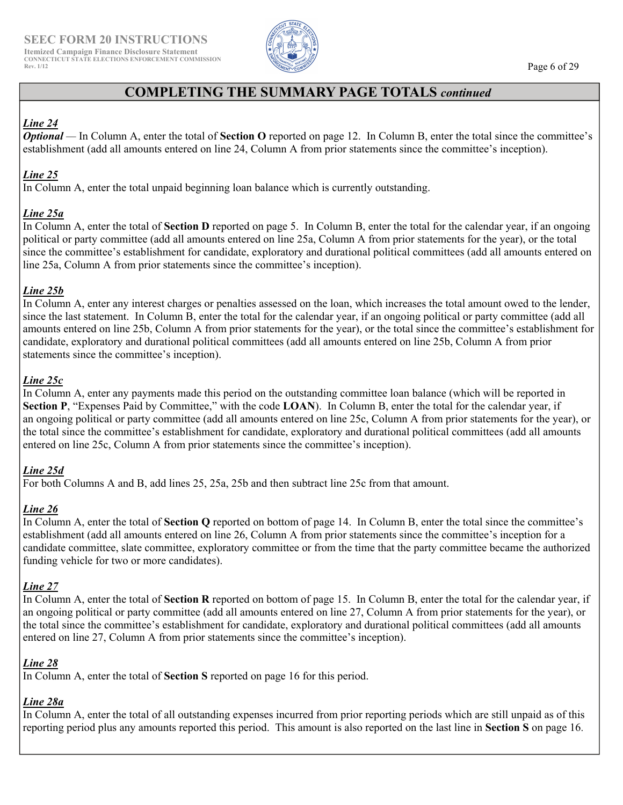

# **COMPLETING THE SUMMARY PAGE TOTALS** *continued*

# *Line 24*

*Optional* — In Column A, enter the total of **Section O** reported on page 12. In Column B, enter the total since the committee's establishment (add all amounts entered on line 24, Column A from prior statements since the committee's inception).

### *Line 25*

In Column A, enter the total unpaid beginning loan balance which is currently outstanding.

#### *Line 25a*

In Column A, enter the total of **Section D** reported on page 5. In Column B, enter the total for the calendar year, if an ongoing political or party committee (add all amounts entered on line 25a, Column A from prior statements for the year), or the total since the committee's establishment for candidate, exploratory and durational political committees (add all amounts entered on line 25a, Column A from prior statements since the committee's inception).

### *Line 25b*

In Column A, enter any interest charges or penalties assessed on the loan, which increases the total amount owed to the lender, since the last statement. In Column B, enter the total for the calendar year, if an ongoing political or party committee (add all amounts entered on line 25b, Column A from prior statements for the year), or the total since the committee's establishment for candidate, exploratory and durational political committees (add all amounts entered on line 25b, Column A from prior statements since the committee's inception).

### *Line 25c*

In Column A, enter any payments made this period on the outstanding committee loan balance (which will be reported in **Section P**, "Expenses Paid by Committee," with the code **LOAN**). In Column B, enter the total for the calendar year, if an ongoing political or party committee (add all amounts entered on line 25c, Column A from prior statements for the year), or the total since the committee's establishment for candidate, exploratory and durational political committees (add all amounts entered on line 25c, Column A from prior statements since the committee's inception).

### *Line 25d*

For both Columns A and B, add lines 25, 25a, 25b and then subtract line 25c from that amount.

### *Line 26*

In Column A, enter the total of **Section Q** reported on bottom of page 14. In Column B, enter the total since the committee's establishment (add all amounts entered on line 26, Column A from prior statements since the committee's inception for a candidate committee, slate committee, exploratory committee or from the time that the party committee became the authorized funding vehicle for two or more candidates).

### *Line 27*

In Column A, enter the total of **Section R** reported on bottom of page 15. In Column B, enter the total for the calendar year, if an ongoing political or party committee (add all amounts entered on line 27, Column A from prior statements for the year), or the total since the committee's establishment for candidate, exploratory and durational political committees (add all amounts entered on line 27, Column A from prior statements since the committee's inception).

# *Line 28*

In Column A, enter the total of **Section S** reported on page 16 for this period.

# *Line 28a*

In Column A, enter the total of all outstanding expenses incurred from prior reporting periods which are still unpaid as of this reporting period plus any amounts reported this period. This amount is also reported on the last line in **Section S** on page 16.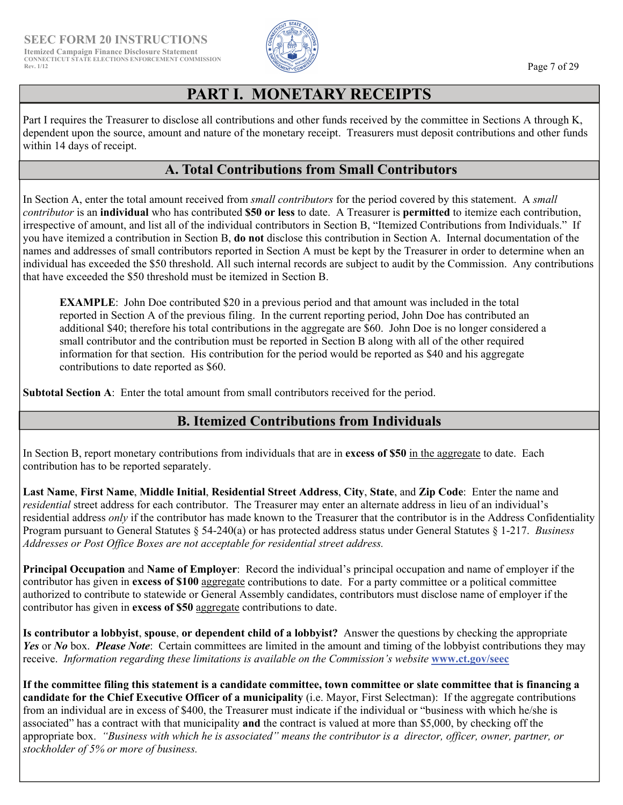

# **PART I. MONETARY RECEIPTS**

Part I requires the Treasurer to disclose all contributions and other funds received by the committee in Sections A through K, dependent upon the source, amount and nature of the monetary receipt. Treasurers must deposit contributions and other funds within 14 days of receipt.

# **A. Total Contributions from Small Contributors**

In Section A, enter the total amount received from *small contributors* for the period covered by this statement. A *small contributor* is an **individual** who has contributed **\$50 or less** to date. A Treasurer is **permitted** to itemize each contribution, irrespective of amount, and list all of the individual contributors in Section B, "Itemized Contributions from Individuals." If you have itemized a contribution in Section B, **do not** disclose this contribution in Section A. Internal documentation of the names and addresses of small contributors reported in Section A must be kept by the Treasurer in order to determine when an individual has exceeded the \$50 threshold. All such internal records are subject to audit by the Commission. Any contributions that have exceeded the \$50 threshold must be itemized in Section B.

**EXAMPLE**: John Doe contributed \$20 in a previous period and that amount was included in the total reported in Section A of the previous filing. In the current reporting period, John Doe has contributed an additional \$40; therefore his total contributions in the aggregate are \$60. John Doe is no longer considered a small contributor and the contribution must be reported in Section B along with all of the other required information for that section. His contribution for the period would be reported as \$40 and his aggregate contributions to date reported as \$60.

**Subtotal Section A**: Enter the total amount from small contributors received for the period.

# **B. Itemized Contributions from Individuals**

In Section B, report monetary contributions from individuals that are in **excess of \$50** in the aggregate to date. Each contribution has to be reported separately.

**Last Name**, **First Name**, **Middle Initial**, **Residential Street Address**, **City**, **State**, and **Zip Code**: Enter the name and *residential* street address for each contributor. The Treasurer may enter an alternate address in lieu of an individual's residential address *only* if the contributor has made known to the Treasurer that the contributor is in the Address Confidentiality Program pursuant to General Statutes § 54-240(a) or has protected address status under General Statutes § 1-217. *Business Addresses or Post Office Boxes are not acceptable for residential street address.* 

**Principal Occupation** and **Name of Employer**: Record the individual's principal occupation and name of employer if the contributor has given in **excess of \$100** aggregate contributions to date. For a party committee or a political committee authorized to contribute to statewide or General Assembly candidates, contributors must disclose name of employer if the contributor has given in **excess of \$50** aggregate contributions to date.

**Is contributor a lobbyist**, **spouse**, **or dependent child of a lobbyist?** Answer the questions by checking the appropriate *Yes* or *No* box. *Please Note*: Certain committees are limited in the amount and timing of the lobbyist contributions they may receive. *Information regarding these limitations is available on the Commission's website* **[www.ct.gov/seec](http://www.ct.gov/seec)**

**If the committee filing this statement is a candidate committee, town committee or slate committee that is financing a candidate for the Chief Executive Officer of a municipality** (i.e. Mayor, First Selectman): If the aggregate contributions from an individual are in excess of \$400, the Treasurer must indicate if the individual or "business with which he/she is associated" has a contract with that municipality **and** the contract is valued at more than \$5,000, by checking off the appropriate box. *"Business with which he is associated" means the contributor is a director, officer, owner, partner, or stockholder of 5% or more of business.*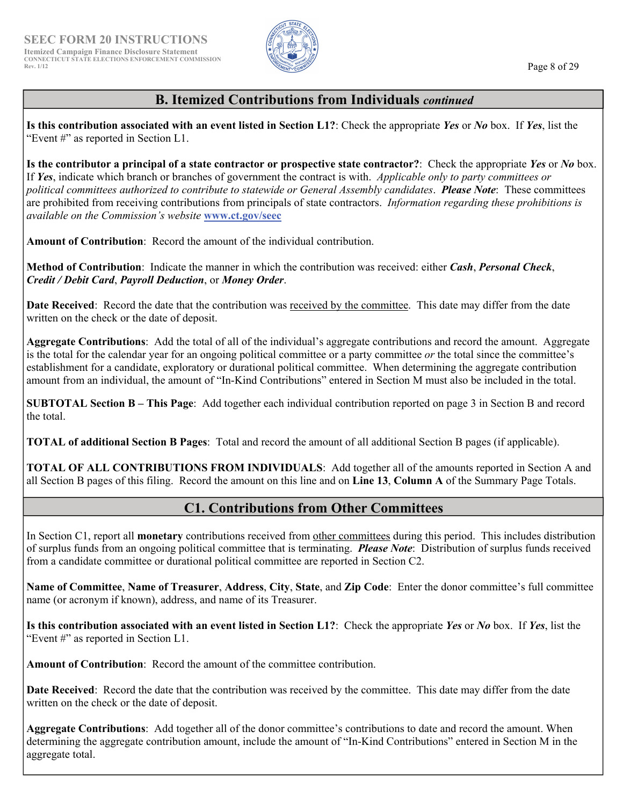

# **B. Itemized Contributions from Individuals** *continued*

**Is this contribution associated with an event listed in Section L1?**: Check the appropriate *Yes* or *No* box. If *Yes*, list the "Event #" as reported in Section L1.

**Is the contributor a principal of a state contractor or prospective state contractor?**:Check the appropriate *Yes* or *No* box. If *Yes*, indicate which branch or branches of government the contract is with. *Applicable only to party committees or political committees authorized to contribute to statewide or General Assembly candidates*. *Please Note*: These committees are prohibited from receiving contributions from principals of state contractors. *Information regarding these prohibitions is available on the Commission's website* **[www.ct.gov/seec](http://www.ct.gov/seec)**

**Amount of Contribution**: Record the amount of the individual contribution.

**Method of Contribution**: Indicate the manner in which the contribution was received: either *Cash*, *Personal Check*, *Credit / Debit Card*, *Payroll Deduction*, or *Money Order*.

**Date Received**: Record the date that the contribution was received by the committee. This date may differ from the date written on the check or the date of deposit.

**Aggregate Contributions**: Add the total of all of the individual's aggregate contributions and record the amount. Aggregate is the total for the calendar year for an ongoing political committee or a party committee *or* the total since the committee's establishment for a candidate, exploratory or durational political committee. When determining the aggregate contribution amount from an individual, the amount of "In-Kind Contributions" entered in Section M must also be included in the total.

**SUBTOTAL Section B – This Page**: Add together each individual contribution reported on page 3 in Section B and record the total.

**TOTAL of additional Section B Pages**: Total and record the amount of all additional Section B pages (if applicable).

**TOTAL OF ALL CONTRIBUTIONS FROM INDIVIDUALS**: Add together all of the amounts reported in Section A and all Section B pages of this filing. Record the amount on this line and on **Line 13**, **Column A** of the Summary Page Totals.

# **C1. Contributions from Other Committees**

In Section C1, report all **monetary** contributions received from other committees during this period. This includes distribution of surplus funds from an ongoing political committee that is terminating. *Please Note*: Distribution of surplus funds received from a candidate committee or durational political committee are reported in Section C2.

**Name of Committee**, **Name of Treasurer**, **Address**, **City**, **State**, and **Zip Code**: Enter the donor committee's full committee name (or acronym if known), address, and name of its Treasurer.

**Is this contribution associated with an event listed in Section L1?**: Check the appropriate *Yes* or *No* box. If *Yes*, list the "Event #" as reported in Section L1.

**Amount of Contribution**: Record the amount of the committee contribution.

**Date Received**: Record the date that the contribution was received by the committee. This date may differ from the date written on the check or the date of deposit.

**Aggregate Contributions**: Add together all of the donor committee's contributions to date and record the amount. When determining the aggregate contribution amount, include the amount of "In-Kind Contributions" entered in Section M in the aggregate total.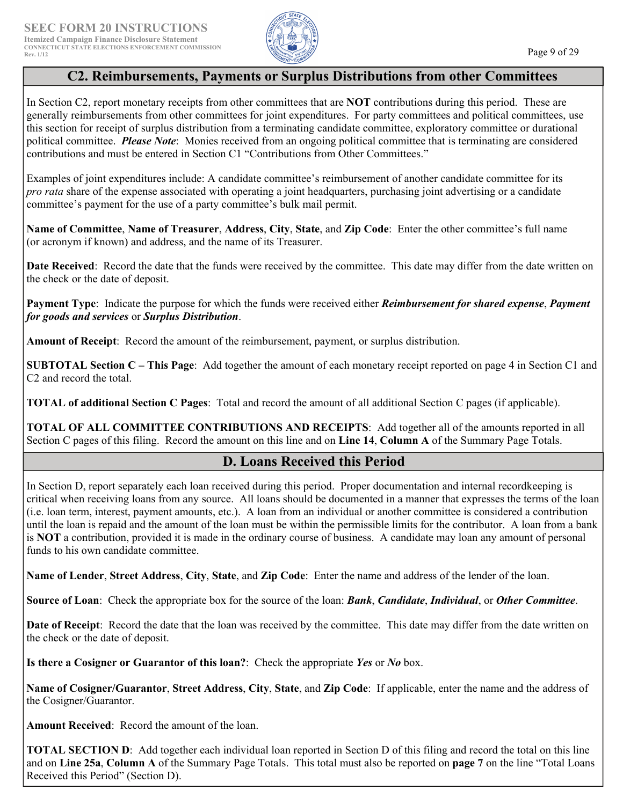

#### **C2. Reimbursements, Payments or Surplus Distributions from other Committees**

In Section C2, report monetary receipts from other committees that are **NOT** contributions during this period. These are generally reimbursements from other committees for joint expenditures. For party committees and political committees, use this section for receipt of surplus distribution from a terminating candidate committee, exploratory committee or durational political committee. *Please Note*: Monies received from an ongoing political committee that is terminating are considered contributions and must be entered in Section C1 "Contributions from Other Committees."

Examples of joint expenditures include: A candidate committee's reimbursement of another candidate committee for its *pro rata* share of the expense associated with operating a joint headquarters, purchasing joint advertising or a candidate committee's payment for the use of a party committee's bulk mail permit.

**Name of Committee**, **Name of Treasurer**, **Address**, **City**, **State**, and **Zip Code**: Enter the other committee's full name (or acronym if known) and address, and the name of its Treasurer.

**Date Received**: Record the date that the funds were received by the committee. This date may differ from the date written on the check or the date of deposit.

**Payment Type**: Indicate the purpose for which the funds were received either *Reimbursement for shared expense*, *Payment for goods and services* or *Surplus Distribution*.

**Amount of Receipt**: Record the amount of the reimbursement, payment, or surplus distribution.

**SUBTOTAL Section C – This Page**: Add together the amount of each monetary receipt reported on page 4 in Section C1 and C2 and record the total.

**TOTAL of additional Section C Pages**: Total and record the amount of all additional Section C pages (if applicable).

**TOTAL OF ALL COMMITTEE CONTRIBUTIONS AND RECEIPTS**: Add together all of the amounts reported in all Section C pages of this filing. Record the amount on this line and on **Line 14**, **Column A** of the Summary Page Totals.

### **D. Loans Received this Period**

In Section D, report separately each loan received during this period. Proper documentation and internal recordkeeping is critical when receiving loans from any source. All loans should be documented in a manner that expresses the terms of the loan (i.e. loan term, interest, payment amounts, etc.). A loan from an individual or another committee is considered a contribution until the loan is repaid and the amount of the loan must be within the permissible limits for the contributor. A loan from a bank is **NOT** a contribution, provided it is made in the ordinary course of business. A candidate may loan any amount of personal funds to his own candidate committee.

**Name of Lender**, **Street Address**, **City**, **State**, and **Zip Code**: Enter the name and address of the lender of the loan.

**Source of Loan**: Check the appropriate box for the source of the loan: *Bank*, *Candidate*, *Individual*, or *Other Committee*.

**Date of Receipt**: Record the date that the loan was received by the committee. This date may differ from the date written on the check or the date of deposit.

**Is there a Cosigner or Guarantor of this loan?**: Check the appropriate *Yes* or *No* box.

**Name of Cosigner/Guarantor**, **Street Address**, **City**, **State**, and **Zip Code**: If applicable, enter the name and the address of the Cosigner/Guarantor.

**Amount Received**: Record the amount of the loan.

**TOTAL SECTION D**: Add together each individual loan reported in Section D of this filing and record the total on this line and on **Line 25a**, **Column A** of the Summary Page Totals. This total must also be reported on **page 7** on the line "Total Loans Received this Period" (Section D).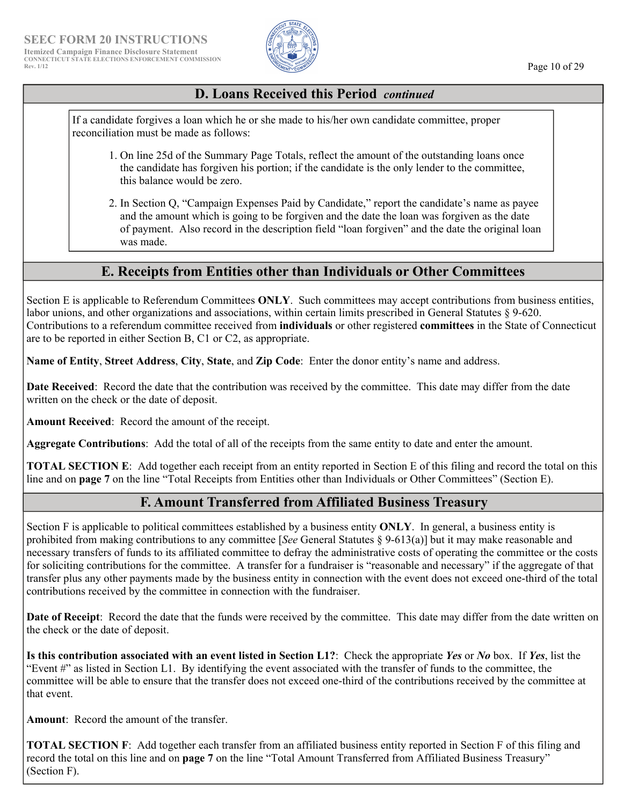

# **D. Loans Received this Period** *continued*

If a candidate forgives a loan which he or she made to his/her own candidate committee, proper reconciliation must be made as follows:

- 1. On line 25d of the Summary Page Totals, reflect the amount of the outstanding loans once the candidate has forgiven his portion; if the candidate is the only lender to the committee, this balance would be zero.
- 2. In Section Q, "Campaign Expenses Paid by Candidate," report the candidate's name as payee and the amount which is going to be forgiven and the date the loan was forgiven as the date of payment. Also record in the description field "loan forgiven" and the date the original loan was made.

# **E. Receipts from Entities other than Individuals or Other Committees**

Section E is applicable to Referendum Committees **ONLY**. Such committees may accept contributions from business entities, labor unions, and other organizations and associations, within certain limits prescribed in General Statutes § 9-620. Contributions to a referendum committee received from **individuals** or other registered **committees** in the State of Connecticut are to be reported in either Section B, C1 or C2, as appropriate.

**Name of Entity**, **Street Address**, **City**, **State**, and **Zip Code**: Enter the donor entity's name and address.

**Date Received**: Record the date that the contribution was received by the committee. This date may differ from the date written on the check or the date of deposit.

**Amount Received**: Record the amount of the receipt.

**Aggregate Contributions**: Add the total of all of the receipts from the same entity to date and enter the amount.

**TOTAL SECTION E**: Add together each receipt from an entity reported in Section E of this filing and record the total on this line and on **page 7** on the line "Total Receipts from Entities other than Individuals or Other Committees" (Section E).

# **F. Amount Transferred from Affiliated Business Treasury**

Section F is applicable to political committees established by a business entity **ONLY**. In general, a business entity is prohibited from making contributions to any committee [*See* General Statutes § 9-613(a)] but it may make reasonable and necessary transfers of funds to its affiliated committee to defray the administrative costs of operating the committee or the costs for soliciting contributions for the committee. A transfer for a fundraiser is "reasonable and necessary" if the aggregate of that transfer plus any other payments made by the business entity in connection with the event does not exceed one-third of the total contributions received by the committee in connection with the fundraiser.

**Date of Receipt**: Record the date that the funds were received by the committee. This date may differ from the date written on the check or the date of deposit.

**Is this contribution associated with an event listed in Section L1?**: Check the appropriate *Yes* or *No* box. If *Yes*, list the "Event  $\sharp$ " as listed in Section L1. By identifying the event associated with the transfer of funds to the committee, the committee will be able to ensure that the transfer does not exceed one-third of the contributions received by the committee at that event.

**Amount**: Record the amount of the transfer.

**TOTAL SECTION F**: Add together each transfer from an affiliated business entity reported in Section F of this filing and record the total on this line and on **page 7** on the line "Total Amount Transferred from Affiliated Business Treasury" (Section F).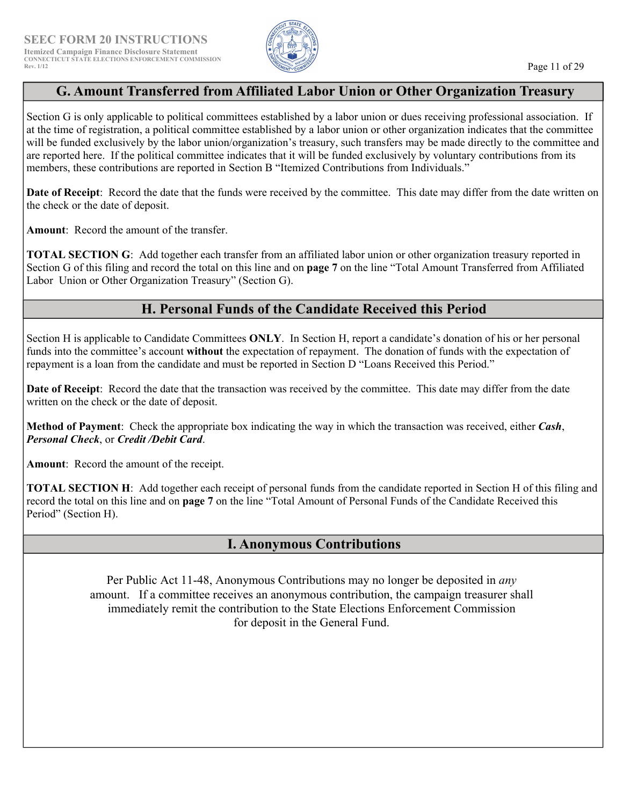

# **G. Amount Transferred from Affiliated Labor Union or Other Organization Treasury**

Section G is only applicable to political committees established by a labor union or dues receiving professional association. If at the time of registration, a political committee established by a labor union or other organization indicates that the committee will be funded exclusively by the labor union/organization's treasury, such transfers may be made directly to the committee and are reported here. If the political committee indicates that it will be funded exclusively by voluntary contributions from its members, these contributions are reported in Section B "Itemized Contributions from Individuals."

**Date of Receipt**: Record the date that the funds were received by the committee. This date may differ from the date written on the check or the date of deposit.

**Amount**: Record the amount of the transfer.

**TOTAL SECTION G**: Add together each transfer from an affiliated labor union or other organization treasury reported in Section G of this filing and record the total on this line and on **page 7** on the line "Total Amount Transferred from Affiliated Labor Union or Other Organization Treasury" (Section G).

# **H. Personal Funds of the Candidate Received this Period**

Section H is applicable to Candidate Committees **ONLY**. In Section H, report a candidate's donation of his or her personal funds into the committee's account **without** the expectation of repayment. The donation of funds with the expectation of repayment is a loan from the candidate and must be reported in Section D "Loans Received this Period."

**Date of Receipt**: Record the date that the transaction was received by the committee. This date may differ from the date written on the check or the date of deposit.

**Method of Payment**: Check the appropriate box indicating the way in which the transaction was received, either *Cash*, *Personal Check*, or *Credit /Debit Card*.

**Amount**: Record the amount of the receipt.

**TOTAL SECTION H**: Add together each receipt of personal funds from the candidate reported in Section H of this filing and record the total on this line and on **page 7** on the line "Total Amount of Personal Funds of the Candidate Received this Period" (Section H).

### **I. Anonymous Contributions**

Per Public Act 11-48, Anonymous Contributions may no longer be deposited in *any*  amount. If a committee receives an anonymous contribution, the campaign treasurer shall immediately remit the contribution to the State Elections Enforcement Commission for deposit in the General Fund.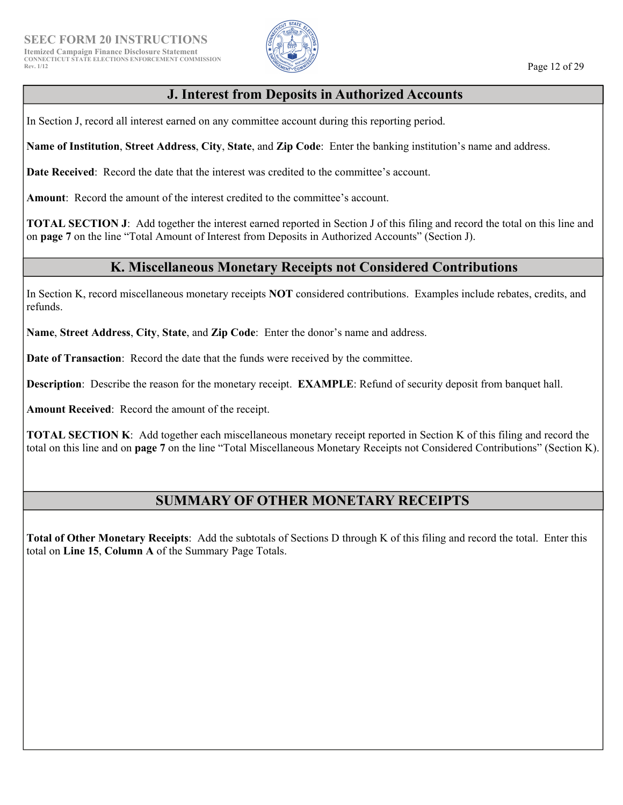

# **J. Interest from Deposits in Authorized Accounts**

In Section J, record all interest earned on any committee account during this reporting period.

**Name of Institution**, **Street Address**, **City**, **State**, and **Zip Code**: Enter the banking institution's name and address.

**Date Received**: Record the date that the interest was credited to the committee's account.

**Amount**: Record the amount of the interest credited to the committee's account.

**TOTAL SECTION J**: Add together the interest earned reported in Section J of this filing and record the total on this line and on **page 7** on the line "Total Amount of Interest from Deposits in Authorized Accounts" (Section J).

#### **K. Miscellaneous Monetary Receipts not Considered Contributions**

In Section K, record miscellaneous monetary receipts **NOT** considered contributions. Examples include rebates, credits, and refunds.

**Name**, **Street Address**, **City**, **State**, and **Zip Code**: Enter the donor's name and address.

**Date of Transaction**: Record the date that the funds were received by the committee.

**Description**: Describe the reason for the monetary receipt. **EXAMPLE**: Refund of security deposit from banquet hall.

**Amount Received**: Record the amount of the receipt.

**TOTAL SECTION K**: Add together each miscellaneous monetary receipt reported in Section K of this filing and record the total on this line and on **page 7** on the line "Total Miscellaneous Monetary Receipts not Considered Contributions" (Section K).

# **SUMMARY OF OTHER MONETARY RECEIPTS**

**Total of Other Monetary Receipts**:Add the subtotals of Sections D through K of this filing and record the total. Enter this total on **Line 15**, **Column A** of the Summary Page Totals.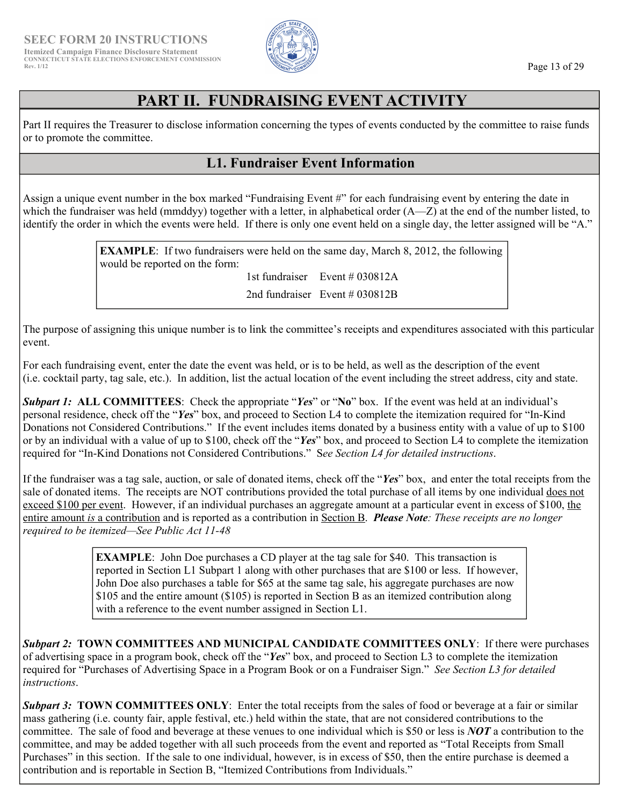

# **PART II. FUNDRAISING EVENT ACTIVITY**

Part II requires the Treasurer to disclose information concerning the types of events conducted by the committee to raise funds or to promote the committee.

# **L1. Fundraiser Event Information**

Assign a unique event number in the box marked "Fundraising Event #" for each fundraising event by entering the date in which the fundraiser was held (mmddyy) together with a letter, in alphabetical order (A—Z) at the end of the number listed, to identify the order in which the events were held. If there is only one event held on a single day, the letter assigned will be "A."

> **EXAMPLE**: If two fundraisers were held on the same day, March 8, 2012, the following would be reported on the form: 1st fundraiser Event # 030812A

> > 2nd fundraiser Event # 030812B

The purpose of assigning this unique number is to link the committee's receipts and expenditures associated with this particular event.

For each fundraising event, enter the date the event was held, or is to be held, as well as the description of the event (i.e. cocktail party, tag sale, etc.). In addition, list the actual location of the event including the street address, city and state.

*Subpart 1:* **ALL COMMITTEES**: Check the appropriate "*Yes*" or "**No**" box. If the event was held at an individual's personal residence, check off the "*Yes*" box, and proceed to Section L4 to complete the itemization required for "In-Kind Donations not Considered Contributions." If the event includes items donated by a business entity with a value of up to \$100 or by an individual with a value of up to \$100, check off the "*Yes*" box, and proceed to Section L4 to complete the itemization required for "In-Kind Donations not Considered Contributions." S*ee Section L4 for detailed instructions*.

If the fundraiser was a tag sale, auction, or sale of donated items, check off the "*Yes*" box, and enter the total receipts from the sale of donated items. The receipts are NOT contributions provided the total purchase of all items by one individual does not exceed \$100 per event. However, if an individual purchases an aggregate amount at a particular event in excess of \$100, the entire amount *is* a contribution and is reported as a contribution in Section B. *Please Note: These receipts are no longer required to be itemized—See Public Act 11-48* 

> **EXAMPLE**: John Doe purchases a CD player at the tag sale for \$40. This transaction is reported in Section L1 Subpart 1 along with other purchases that are \$100 or less. If however, John Doe also purchases a table for \$65 at the same tag sale, his aggregate purchases are now \$105 and the entire amount (\$105) is reported in Section B as an itemized contribution along with a reference to the event number assigned in Section L1.

*Subpart 2:* **TOWN COMMITTEES AND MUNICIPAL CANDIDATE COMMITTEES ONLY**: If there were purchases of advertising space in a program book, check off the "*Yes*" box, and proceed to Section L3 to complete the itemization required for "Purchases of Advertising Space in a Program Book or on a Fundraiser Sign." *See Section L3 for detailed instructions*.

*Subpart 3:* **TOWN COMMITTEES ONLY**: Enter the total receipts from the sales of food or beverage at a fair or similar mass gathering (i.e. county fair, apple festival, etc.) held within the state, that are not considered contributions to the committee. The sale of food and beverage at these venues to one individual which is \$50 or less is *NOT* a contribution to the committee, and may be added together with all such proceeds from the event and reported as "Total Receipts from Small Purchases" in this section. If the sale to one individual, however, is in excess of \$50, then the entire purchase is deemed a contribution and is reportable in Section B, "Itemized Contributions from Individuals."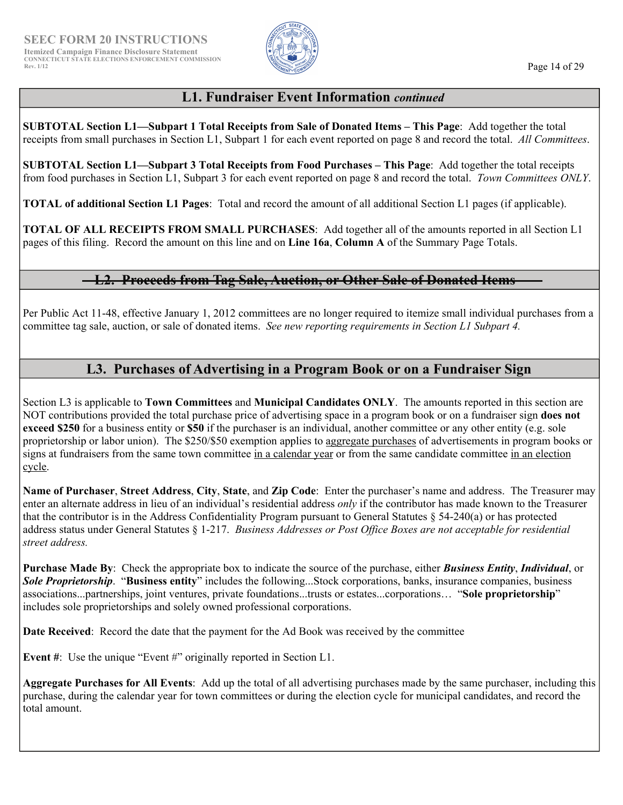

# **L1. Fundraiser Event Information** *continued*

**SUBTOTAL Section L1—Subpart 1 Total Receipts from Sale of Donated Items – This Page**: Add together the total receipts from small purchases in Section L1, Subpart 1 for each event reported on page 8 and record the total. *All Committees*.

**SUBTOTAL Section L1—Subpart 3 Total Receipts from Food Purchases – This Page**: Add together the total receipts from food purchases in Section L1, Subpart 3 for each event reported on page 8 and record the total. *Town Committees ONLY*.

**TOTAL of additional Section L1 Pages**: Total and record the amount of all additional Section L1 pages (if applicable).

**TOTAL OF ALL RECEIPTS FROM SMALL PURCHASES**: Add together all of the amounts reported in all Section L1 pages of this filing. Record the amount on this line and on **Line 16a**, **Column A** of the Summary Page Totals.

### **L2. Proceeds from Tag Sale, Auction, or Other Sale of Donated Items**

Per Public Act 11-48, effective January 1, 2012 committees are no longer required to itemize small individual purchases from a committee tag sale, auction, or sale of donated items. *See new reporting requirements in Section L1 Subpart 4.* 

### **L3. Purchases of Advertising in a Program Book or on a Fundraiser Sign**

Section L3 is applicable to **Town Committees** and **Municipal Candidates ONLY**. The amounts reported in this section are NOT contributions provided the total purchase price of advertising space in a program book or on a fundraiser sign **does not exceed \$250** for a business entity or **\$50** if the purchaser is an individual, another committee or any other entity (e.g. sole proprietorship or labor union). The \$250/\$50 exemption applies to aggregate purchases of advertisements in program books or signs at fundraisers from the same town committee in a calendar year or from the same candidate committee in an election cycle.

**Name of Purchaser**, **Street Address**, **City**, **State**, and **Zip Code**: Enter the purchaser's name and address. The Treasurer may enter an alternate address in lieu of an individual's residential address *only* if the contributor has made known to the Treasurer that the contributor is in the Address Confidentiality Program pursuant to General Statutes  $\S$  54-240(a) or has protected address status under General Statutes § 1-217. *Business Addresses or Post Office Boxes are not acceptable for residential street address.* 

**Purchase Made By**: Check the appropriate box to indicate the source of the purchase, either *Business Entity*, *Individual*, or *Sole Proprietorship*. "**Business entity**" includes the following...Stock corporations, banks, insurance companies, business associations...partnerships, joint ventures, private foundations...trusts or estates...corporations… "**Sole proprietorship**" includes sole proprietorships and solely owned professional corporations.

**Date Received**: Record the date that the payment for the Ad Book was received by the committee

**Event #:** Use the unique "Event #" originally reported in Section L1.

**Aggregate Purchases for All Events**: Add up the total of all advertising purchases made by the same purchaser, including this purchase, during the calendar year for town committees or during the election cycle for municipal candidates, and record the total amount.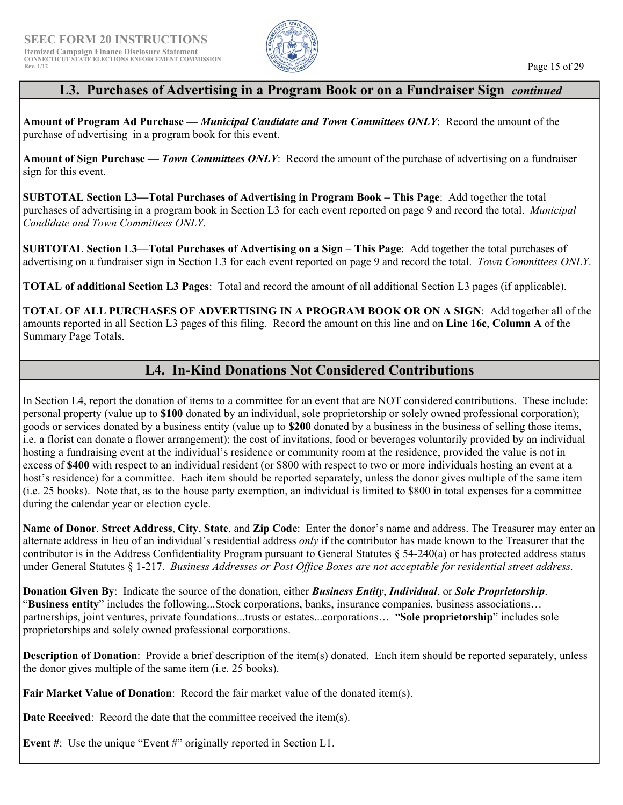

### **L3. Purchases of Advertising in a Program Book or on a Fundraiser Sign** *continued*

**Amount of Program Ad Purchase —** *Municipal Candidate and Town Committees ONLY*: Record the amount of the purchase of advertising in a program book for this event.

**Amount of Sign Purchase —** *Town Committees ONLY*: Record the amount of the purchase of advertising on a fundraiser sign for this event.

**SUBTOTAL Section L3—Total Purchases of Advertising in Program Book – This Page**: Add together the total purchases of advertising in a program book in Section L3 for each event reported on page 9 and record the total. *Municipal Candidate and Town Committees ONLY*.

**SUBTOTAL Section L3—Total Purchases of Advertising on a Sign – This Page**: Add together the total purchases of advertising on a fundraiser sign in Section L3 for each event reported on page 9 and record the total. *Town Committees ONLY*.

**TOTAL of additional Section L3 Pages**: Total and record the amount of all additional Section L3 pages (if applicable).

**TOTAL OF ALL PURCHASES OF ADVERTISING IN A PROGRAM BOOK OR ON A SIGN**: Add together all of the amounts reported in all Section L3 pages of this filing. Record the amount on this line and on **Line 16c**, **Column A** of the Summary Page Totals.

### **L4. In-Kind Donations Not Considered Contributions**

In Section L4, report the donation of items to a committee for an event that are NOT considered contributions. These include: personal property (value up to **\$100** donated by an individual, sole proprietorship or solely owned professional corporation); goods or services donated by a business entity (value up to **\$200** donated by a business in the business of selling those items, i.e. a florist can donate a flower arrangement); the cost of invitations, food or beverages voluntarily provided by an individual hosting a fundraising event at the individual's residence or community room at the residence, provided the value is not in excess of \$400 with respect to an individual resident (or \$800 with respect to two or more individuals hosting an event at a host's residence) for a committee. Each item should be reported separately, unless the donor gives multiple of the same item (i.e. 25 books). Note that, as to the house party exemption, an individual is limited to \$800 in total expenses for a committee during the calendar year or election cycle.

**Name of Donor**, **Street Address**, **City**, **State**, and **Zip Code**: Enter the donor's name and address. The Treasurer may enter an alternate address in lieu of an individual's residential address *only* if the contributor has made known to the Treasurer that the contributor is in the Address Confidentiality Program pursuant to General Statutes § 54-240(a) or has protected address status under General Statutes § 1-217. *Business Addresses or Post Office Boxes are not acceptable for residential street address.* 

**Donation Given By**: Indicate the source of the donation, either *Business Entity*, *Individual*, or *Sole Proprietorship*. "**Business entity**" includes the following...Stock corporations, banks, insurance companies, business associations… partnerships, joint ventures, private foundations...trusts or estates...corporations… "**Sole proprietorship**" includes sole proprietorships and solely owned professional corporations.

**Description of Donation**: Provide a brief description of the item(s) donated. Each item should be reported separately, unless the donor gives multiple of the same item (i.e. 25 books).

**Fair Market Value of Donation**: Record the fair market value of the donated item(s).

**Date Received**: Record the date that the committee received the item(s).

**Event #:** Use the unique "Event #" originally reported in Section L1.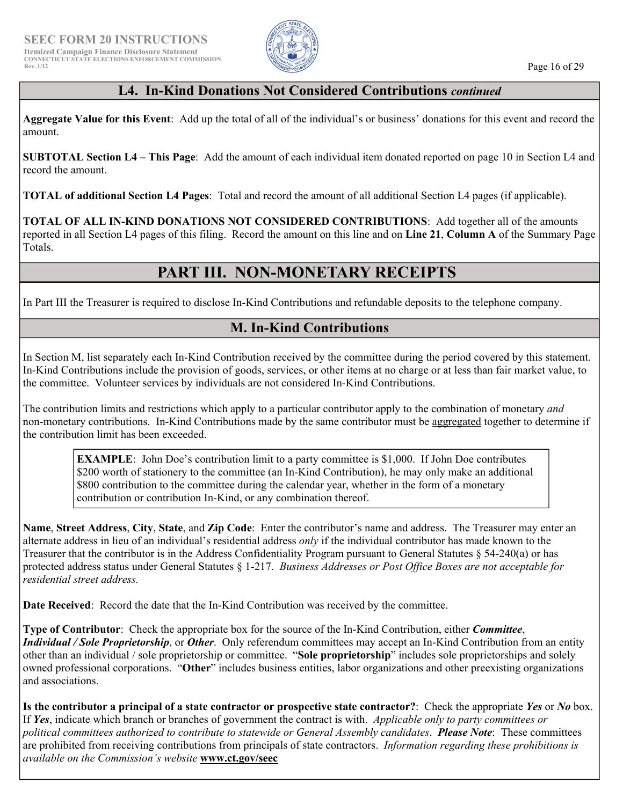

# **L4. In-Kind Donations Not Considered Contributions** *continued*

**Aggregate Value for this Event**: Add up the total of all of the individual's or business' donations for this event and record the amount.

**SUBTOTAL Section L4 – This Page**: Add the amount of each individual item donated reported on page 10 in Section L4 and record the amount.

**TOTAL of additional Section L4 Pages**: Total and record the amount of all additional Section L4 pages (if applicable).

**TOTAL OF ALL IN-KIND DONATIONS NOT CONSIDERED CONTRIBUTIONS**: Add together all of the amounts reported in all Section L4 pages of this filing. Record the amount on this line and on **Line 21**, **Column A** of the Summary Page Totals.

# **PART III. NON-MONETARY RECEIPTS**

In Part III the Treasurer is required to disclose In-Kind Contributions and refundable deposits to the telephone company.

# **M. In-Kind Contributions**

In Section M, list separately each In-Kind Contribution received by the committee during the period covered by this statement. In-Kind Contributions include the provision of goods, services, or other items at no charge or at less than fair market value, to the committee. Volunteer services by individuals are not considered In-Kind Contributions.

The contribution limits and restrictions which apply to a particular contributor apply to the combination of monetary *and* non-monetary contributions. In-Kind Contributions made by the same contributor must be aggregated together to determine if the contribution limit has been exceeded.

**EXAMPLE**: John Doe's contribution limit to a party committee is \$1,000. If John Doe contributes \$200 worth of stationery to the committee (an In-Kind Contribution), he may only make an additional \$800 contribution to the committee during the calendar year, whether in the form of a monetary contribution or contribution In-Kind, or any combination thereof.

**Name**, **Street Address**, **City**, **State**, and **Zip Code**: Enter the contributor's name and address. The Treasurer may enter an alternate address in lieu of an individual's residential address *only* if the individual contributor has made known to the Treasurer that the contributor is in the Address Confidentiality Program pursuant to General Statutes § 54-240(a) or has protected address status under General Statutes § 1-217. *Business Addresses or Post Office Boxes are not acceptable for residential street address.* 

**Date Received**: Record the date that the In-Kind Contribution was received by the committee.

**Type of Contributor**: Check the appropriate box for the source of the In-Kind Contribution, either *Committee*, *Individual / Sole Proprietorship*, or *Other*. Only referendum committees may accept an In-Kind Contribution from an entity other than an individual / sole proprietorship or committee. "**Sole proprietorship**" includes sole proprietorships and solely owned professional corporations. "**Other**" includes business entities, labor organizations and other preexisting organizations and associations.

**Is the contributor a principal of a state contractor or prospective state contractor?**:Check the appropriate *Yes* or *No* box. If *Yes*, indicate which branch or branches of government the contract is with. *Applicable only to party committees or political committees authorized to contribute to statewide or General Assembly candidates*. *Please Note*: These committees are prohibited from receiving contributions from principals of state contractors. *Information regarding these prohibitions is available on the Commission's website* **[www.ct.gov/seec](http://www.ct.gov/seec)**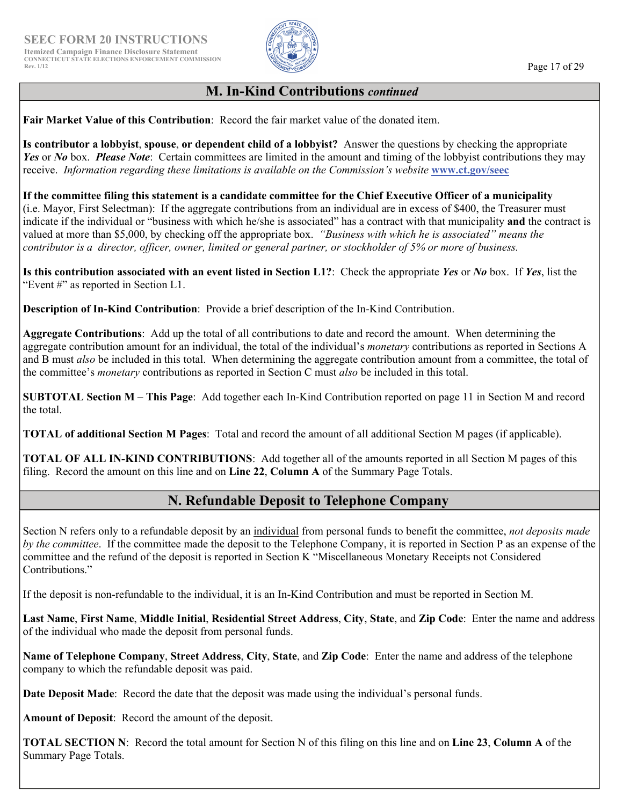

### **M. In-Kind Contributions** *continued*

**Fair Market Value of this Contribution**: Record the fair market value of the donated item.

**Is contributor a lobbyist**, **spouse**, **or dependent child of a lobbyist?** Answer the questions by checking the appropriate *Yes* or *No* box. *Please Note*: Certain committees are limited in the amount and timing of the lobbyist contributions they may receive. *Information regarding these limitations is available on the Commission's website* **[www.ct.gov/seec](http://www.ct.gov/seec)**

**If the committee filing this statement is a candidate committee for the Chief Executive Officer of a municipality** (i.e. Mayor, First Selectman): If the aggregate contributions from an individual are in excess of \$400, the Treasurer must indicate if the individual or "business with which he/she is associated" has a contract with that municipality **and** the contract is valued at more than \$5,000, by checking off the appropriate box. *"Business with which he is associated" means the contributor is a director, officer, owner, limited or general partner, or stockholder of 5% or more of business.* 

**Is this contribution associated with an event listed in Section L1?**: Check the appropriate *Yes* or *No* box. If *Yes*, list the "Event #" as reported in Section L1.

**Description of In-Kind Contribution**: Provide a brief description of the In-Kind Contribution.

**Aggregate Contributions**: Add up the total of all contributions to date and record the amount. When determining the aggregate contribution amount for an individual, the total of the individual's *monetary* contributions as reported in Sections A and B must *also* be included in this total. When determining the aggregate contribution amount from a committee, the total of the committee's *monetary* contributions as reported in Section C must *also* be included in this total.

**SUBTOTAL Section M – This Page**: Add together each In-Kind Contribution reported on page 11 in Section M and record the total.

**TOTAL of additional Section M Pages**: Total and record the amount of all additional Section M pages (if applicable).

**TOTAL OF ALL IN-KIND CONTRIBUTIONS**: Add together all of the amounts reported in all Section M pages of this filing. Record the amount on this line and on **Line 22**, **Column A** of the Summary Page Totals.

# **N. Refundable Deposit to Telephone Company**

Section N refers only to a refundable deposit by an individual from personal funds to benefit the committee, *not deposits made by the committee*. If the committee made the deposit to the Telephone Company, it is reported in Section P as an expense of the committee and the refund of the deposit is reported in Section K "Miscellaneous Monetary Receipts not Considered Contributions."

If the deposit is non-refundable to the individual, it is an In-Kind Contribution and must be reported in Section M.

**Last Name**, **First Name**, **Middle Initial**, **Residential Street Address**, **City**, **State**, and **Zip Code**: Enter the name and address of the individual who made the deposit from personal funds.

**Name of Telephone Company**, **Street Address**, **City**, **State**, and **Zip Code**: Enter the name and address of the telephone company to which the refundable deposit was paid.

**Date Deposit Made**: Record the date that the deposit was made using the individual's personal funds.

**Amount of Deposit**: Record the amount of the deposit.

**TOTAL SECTION N**: Record the total amount for Section N of this filing on this line and on **Line 23**, **Column A** of the Summary Page Totals.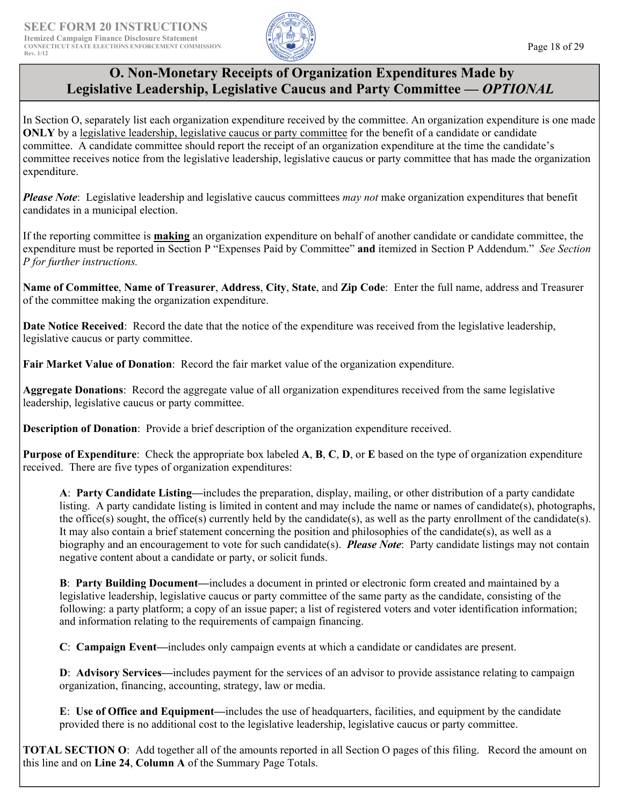

# **O. Non-Monetary Receipts of Organization Expenditures Made by Legislative Leadership, Legislative Caucus and Party Committee —** *OPTIONAL*

In Section O, separately list each organization expenditure received by the committee. An organization expenditure is one made **ONLY** by a legislative leadership, legislative caucus or party committee for the benefit of a candidate or candidate committee. A candidate committee should report the receipt of an organization expenditure at the time the candidate's committee receives notice from the legislative leadership, legislative caucus or party committee that has made the organization expenditure.

*Please Note*: Legislative leadership and legislative caucus committees *may not* make organization expenditures that benefit candidates in a municipal election.

If the reporting committee is **making** an organization expenditure on behalf of another candidate or candidate committee, the expenditure must be reported in Section P "Expenses Paid by Committee" **and** itemized in Section P Addendum." *See Section P for further instructions.* 

**Name of Committee**, **Name of Treasurer**, **Address**, **City**, **State**, and **Zip Code**:Enter the full name, address and Treasurer of the committee making the organization expenditure.

**Date Notice Received**: Record the date that the notice of the expenditure was received from the legislative leadership, legislative caucus or party committee.

**Fair Market Value of Donation**: Record the fair market value of the organization expenditure.

**Aggregate Donations**: Record the aggregate value of all organization expenditures received from the same legislative leadership, legislative caucus or party committee.

**Description of Donation**: Provide a brief description of the organization expenditure received.

**Purpose of Expenditure**: Check the appropriate box labeled **A**, **B**, **C**, **D**, or **E** based on the type of organization expenditure received. There are five types of organization expenditures:

 **A**: **Party Candidate Listing—**includes the preparation, display, mailing, or other distribution of a party candidate listing. A party candidate listing is limited in content and may include the name or names of candidate(s), photographs, the office(s) sought, the office(s) currently held by the candidate(s), as well as the party enrollment of the candidate(s). It may also contain a brief statement concerning the position and philosophies of the candidate(s), as well as a biography and an encouragement to vote for such candidate(s). *Please Note*: Party candidate listings may not contain negative content about a candidate or party, or solicit funds.

 **B**: **Party Building Document—**includes a document in printed or electronic form created and maintained by a legislative leadership, legislative caucus or party committee of the same party as the candidate, consisting of the following: a party platform; a copy of an issue paper; a list of registered voters and voter identification information; and information relating to the requirements of campaign financing.

**C**: **Campaign Event—**includes only campaign events at which a candidate or candidates are present.

 **D**: **Advisory Services—**includes payment for the services of an advisor to provide assistance relating to campaign organization, financing, accounting, strategy, law or media.

 **E**: **Use of Office and Equipment—**includes the use of headquarters, facilities, and equipment by the candidate provided there is no additional cost to the legislative leadership, legislative caucus or party committee.

**TOTAL SECTION O**: Add together all of the amounts reported in all Section O pages of this filing. Record the amount on this line and on **Line 24**, **Column A** of the Summary Page Totals.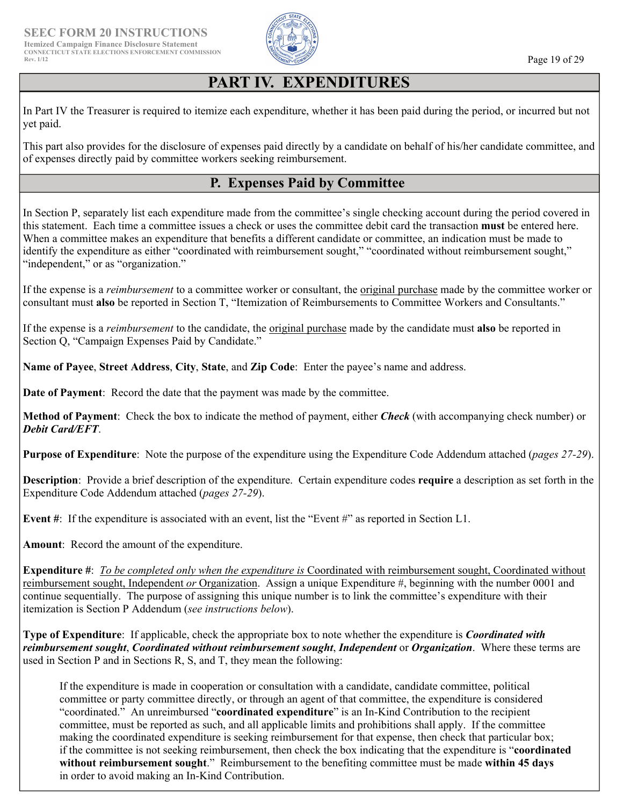

# **PART IV. EXPENDITURES**

In Part IV the Treasurer is required to itemize each expenditure, whether it has been paid during the period, or incurred but not yet paid.

This part also provides for the disclosure of expenses paid directly by a candidate on behalf of his/her candidate committee, and of expenses directly paid by committee workers seeking reimbursement.

# **P. Expenses Paid by Committee**

In Section P, separately list each expenditure made from the committee's single checking account during the period covered in this statement. Each time a committee issues a check or uses the committee debit card the transaction **must** be entered here. When a committee makes an expenditure that benefits a different candidate or committee, an indication must be made to identify the expenditure as either "coordinated with reimbursement sought," "coordinated without reimbursement sought," "independent," or as "organization."

If the expense is a *reimbursement* to a committee worker or consultant, the original purchase made by the committee worker or consultant must **also** be reported in Section T, "Itemization of Reimbursements to Committee Workers and Consultants."

If the expense is a *reimbursement* to the candidate, the original purchase made by the candidate must **also** be reported in Section Q, "Campaign Expenses Paid by Candidate."

**Name of Payee**, **Street Address**, **City**, **State**, and **Zip Code**: Enter the payee's name and address.

**Date of Payment**: Record the date that the payment was made by the committee.

**Method of Payment**: Check the box to indicate the method of payment, either *Check* (with accompanying check number) or *Debit Card/EFT*.

**Purpose of Expenditure**: Note the purpose of the expenditure using the Expenditure Code Addendum attached (*pages 27-29*).

**Description**: Provide a brief description of the expenditure. Certain expenditure codes **require** a description as set forth in the Expenditure Code Addendum attached (*pages 27-29*).

**Event** #: If the expenditure is associated with an event, list the "Event #" as reported in Section L1.

**Amount**: Record the amount of the expenditure.

**Expenditure #**: *To be completed only when the expenditure is* Coordinated with reimbursement sought, Coordinated without reimbursement sought, Independent *or* Organization. Assign a unique Expenditure #, beginning with the number 0001 and continue sequentially. The purpose of assigning this unique number is to link the committee's expenditure with their itemization is Section P Addendum (*see instructions below*).

**Type of Expenditure**: If applicable, check the appropriate box to note whether the expenditure is *Coordinated with reimbursement sought*, *Coordinated without reimbursement sought*, *Independent* or *Organization*. Where these terms are used in Section P and in Sections R, S, and T, they mean the following:

If the expenditure is made in cooperation or consultation with a candidate, candidate committee, political committee or party committee directly, or through an agent of that committee, the expenditure is considered "coordinated." An unreimbursed "**coordinated expenditure**" is an In-Kind Contribution to the recipient committee, must be reported as such, and all applicable limits and prohibitions shall apply. If the committee making the coordinated expenditure is seeking reimbursement for that expense, then check that particular box; if the committee is not seeking reimbursement, then check the box indicating that the expenditure is "**coordinated without reimbursement sought**." Reimbursement to the benefiting committee must be made **within 45 days**  in order to avoid making an In-Kind Contribution.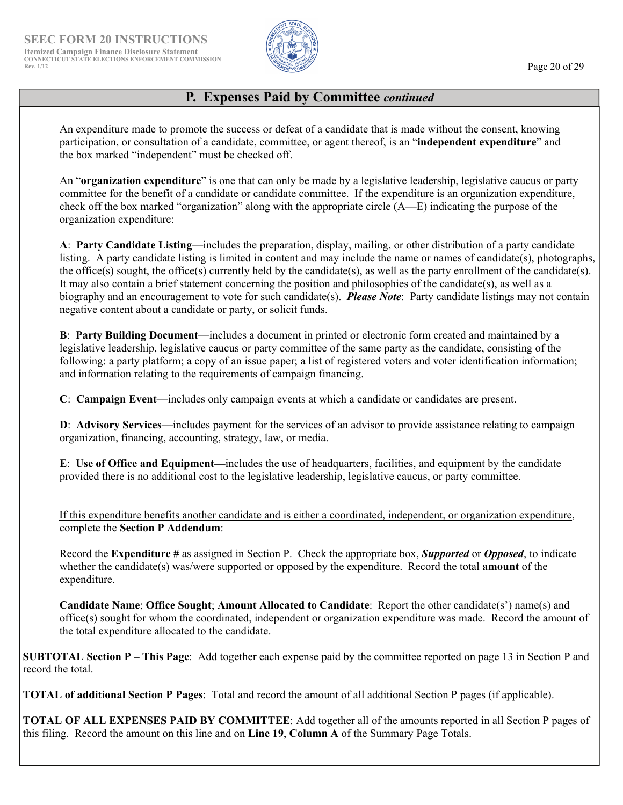

# **P. Expenses Paid by Committee** *continued*

An expenditure made to promote the success or defeat of a candidate that is made without the consent, knowing participation, or consultation of a candidate, committee, or agent thereof, is an "**independent expenditure**" and the box marked "independent" must be checked off.

An "**organization expenditure**" is one that can only be made by a legislative leadership, legislative caucus or party committee for the benefit of a candidate or candidate committee. If the expenditure is an organization expenditure, check off the box marked "organization" along with the appropriate circle (A—E) indicating the purpose of the organization expenditure:

 **A**: **Party Candidate Listing—**includes the preparation, display, mailing, or other distribution of a party candidate listing. A party candidate listing is limited in content and may include the name or names of candidate(s), photographs, the office(s) sought, the office(s) currently held by the candidate(s), as well as the party enrollment of the candidate(s). It may also contain a brief statement concerning the position and philosophies of the candidate(s), as well as a biography and an encouragement to vote for such candidate(s). *Please Note*: Party candidate listings may not contain negative content about a candidate or party, or solicit funds.

 **B**: **Party Building Document—**includes a document in printed or electronic form created and maintained by a legislative leadership, legislative caucus or party committee of the same party as the candidate, consisting of the following: a party platform; a copy of an issue paper; a list of registered voters and voter identification information; and information relating to the requirements of campaign financing.

**C**: **Campaign Event—**includes only campaign events at which a candidate or candidates are present.

 **D**: **Advisory Services—**includes payment for the services of an advisor to provide assistance relating to campaign organization, financing, accounting, strategy, law, or media.

 **E**: **Use of Office and Equipment—**includes the use of headquarters, facilities, and equipment by the candidate provided there is no additional cost to the legislative leadership, legislative caucus, or party committee.

 If this expenditure benefits another candidate and is either a coordinated, independent, or organization expenditure, complete the **Section P Addendum**:

 Record the **Expenditure #** as assigned in Section P. Check the appropriate box, *Supported* or *Opposed*, to indicate whether the candidate(s) was/were supported or opposed by the expenditure. Record the total **amount** of the expenditure.

 **Candidate Name**; **Office Sought**; **Amount Allocated to Candidate**: Report the other candidate(s') name(s) and office(s) sought for whom the coordinated, independent or organization expenditure was made. Record the amount of the total expenditure allocated to the candidate.

**SUBTOTAL Section P – This Page**: Add together each expense paid by the committee reported on page 13 in Section P and record the total.

**TOTAL of additional Section P Pages**: Total and record the amount of all additional Section P pages (if applicable).

**TOTAL OF ALL EXPENSES PAID BY COMMITTEE**: Add together all of the amounts reported in all Section P pages of this filing. Record the amount on this line and on **Line 19**, **Column A** of the Summary Page Totals.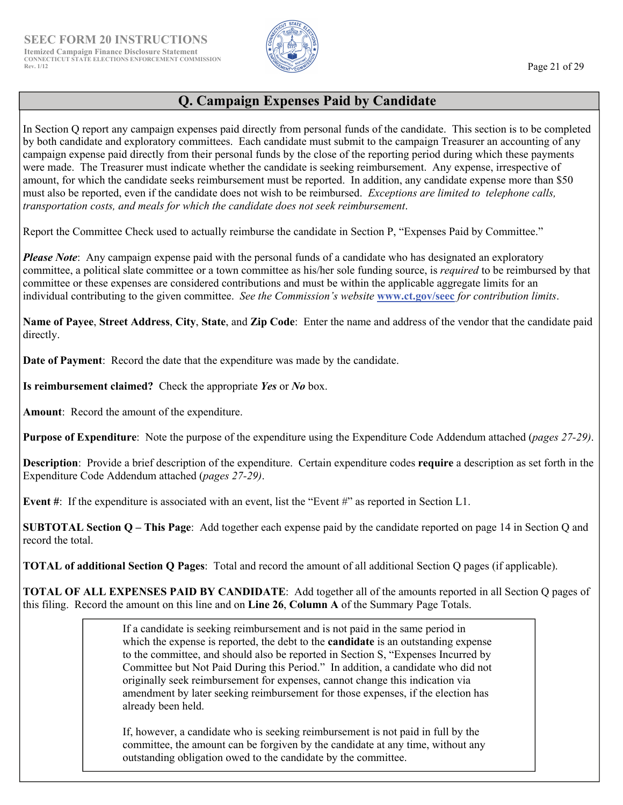

# **Q. Campaign Expenses Paid by Candidate**

In Section Q report any campaign expenses paid directly from personal funds of the candidate. This section is to be completed by both candidate and exploratory committees. Each candidate must submit to the campaign Treasurer an accounting of any campaign expense paid directly from their personal funds by the close of the reporting period during which these payments were made. The Treasurer must indicate whether the candidate is seeking reimbursement. Any expense, irrespective of amount, for which the candidate seeks reimbursement must be reported. In addition, any candidate expense more than \$50 must also be reported, even if the candidate does not wish to be reimbursed. *Exceptions are limited to telephone calls, transportation costs, and meals for which the candidate does not seek reimbursement*.

Report the Committee Check used to actually reimburse the candidate in Section P, "Expenses Paid by Committee."

*Please Note*: Any campaign expense paid with the personal funds of a candidate who has designated an exploratory committee, a political slate committee or a town committee as his/her sole funding source, is *required* to be reimbursed by that committee or these expenses are considered contributions and must be within the applicable aggregate limits for an individual contributing to the given committee. *See the Commission's website* **[www.ct.gov/seec](http://www.ct.gov/seec)** *for contribution limits*.

**Name of Payee**, **Street Address**, **City**, **State**, and **Zip Code**: Enter the name and address of the vendor that the candidate paid directly.

**Date of Payment**: Record the date that the expenditure was made by the candidate.

**Is reimbursement claimed?** Check the appropriate *Yes* or *No* box.

**Amount**: Record the amount of the expenditure.

**Purpose of Expenditure**: Note the purpose of the expenditure using the Expenditure Code Addendum attached (*pages 27-29)*.

**Description**: Provide a brief description of the expenditure. Certain expenditure codes **require** a description as set forth in the Expenditure Code Addendum attached (*pages 27-29)*.

**Event** #: If the expenditure is associated with an event, list the "Event #" as reported in Section L1.

**SUBTOTAL Section Q – This Page**: Add together each expense paid by the candidate reported on page 14 in Section Q and record the total.

**TOTAL of additional Section Q Pages**: Total and record the amount of all additional Section Q pages (if applicable).

**TOTAL OF ALL EXPENSES PAID BY CANDIDATE**: Add together all of the amounts reported in all Section Q pages of this filing. Record the amount on this line and on **Line 26**, **Column A** of the Summary Page Totals.

> If a candidate is seeking reimbursement and is not paid in the same period in which the expense is reported, the debt to the **candidate** is an outstanding expense to the committee, and should also be reported in Section S, "Expenses Incurred by Committee but Not Paid During this Period." In addition, a candidate who did not originally seek reimbursement for expenses, cannot change this indication via amendment by later seeking reimbursement for those expenses, if the election has already been held.

If, however, a candidate who is seeking reimbursement is not paid in full by the committee, the amount can be forgiven by the candidate at any time, without any outstanding obligation owed to the candidate by the committee.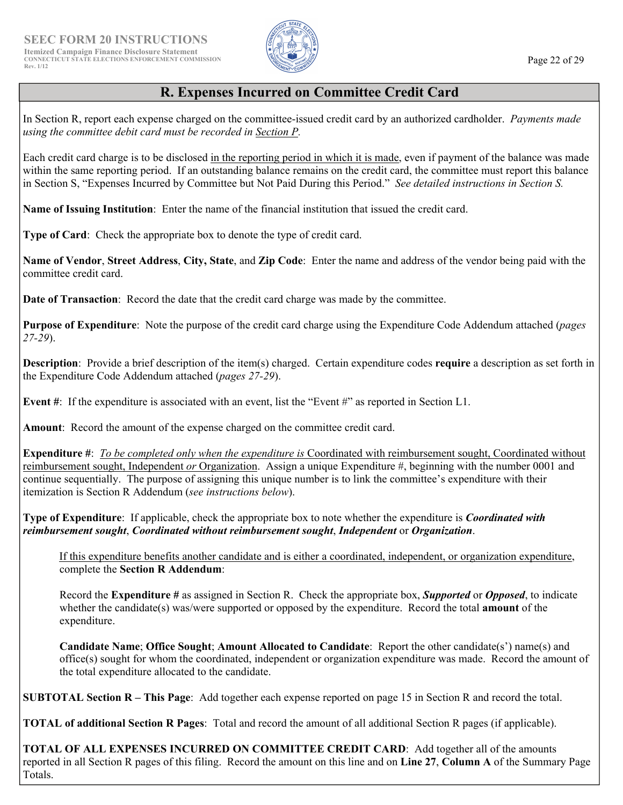

# **R. Expenses Incurred on Committee Credit Card**

In Section R, report each expense charged on the committee-issued credit card by an authorized cardholder. *Payments made using the committee debit card must be recorded in Section P.* 

Each credit card charge is to be disclosed in the reporting period in which it is made, even if payment of the balance was made within the same reporting period. If an outstanding balance remains on the credit card, the committee must report this balance in Section S, "Expenses Incurred by Committee but Not Paid During this Period." *See detailed instructions in Section S.* 

**Name of Issuing Institution**: Enter the name of the financial institution that issued the credit card.

**Type of Card**: Check the appropriate box to denote the type of credit card.

**Name of Vendor**, **Street Address**, **City, State**, and **Zip Code**: Enter the name and address of the vendor being paid with the committee credit card.

**Date of Transaction**: Record the date that the credit card charge was made by the committee.

**Purpose of Expenditure**: Note the purpose of the credit card charge using the Expenditure Code Addendum attached (*pages 27-29*).

**Description**: Provide a brief description of the item(s) charged. Certain expenditure codes **require** a description as set forth in the Expenditure Code Addendum attached (*pages 27-29*).

**Event** #: If the expenditure is associated with an event, list the "Event #" as reported in Section L1.

**Amount**: Record the amount of the expense charged on the committee credit card.

**Expenditure #**: *To be completed only when the expenditure is* Coordinated with reimbursement sought, Coordinated without reimbursement sought, Independent *or* Organization. Assign a unique Expenditure #, beginning with the number 0001 and continue sequentially. The purpose of assigning this unique number is to link the committee's expenditure with their itemization is Section R Addendum (*see instructions below*).

**Type of Expenditure**: If applicable, check the appropriate box to note whether the expenditure is *Coordinated with reimbursement sought*, *Coordinated without reimbursement sought*, *Independent* or *Organization*.

 If this expenditure benefits another candidate and is either a coordinated, independent, or organization expenditure, complete the **Section R Addendum**:

 Record the **Expenditure #** as assigned in Section R. Check the appropriate box, *Supported* or *Opposed*, to indicate whether the candidate(s) was/were supported or opposed by the expenditure. Record the total **amount** of the expenditure.

 **Candidate Name**; **Office Sought**; **Amount Allocated to Candidate**: Report the other candidate(s') name(s) and office(s) sought for whom the coordinated, independent or organization expenditure was made. Record the amount of the total expenditure allocated to the candidate.

**SUBTOTAL Section R – This Page**: Add together each expense reported on page 15 in Section R and record the total.

**TOTAL of additional Section R Pages**: Total and record the amount of all additional Section R pages (if applicable).

**TOTAL OF ALL EXPENSES INCURRED ON COMMITTEE CREDIT CARD**: Add together all of the amounts reported in all Section R pages of this filing. Record the amount on this line and on **Line 27**, **Column A** of the Summary Page Totals.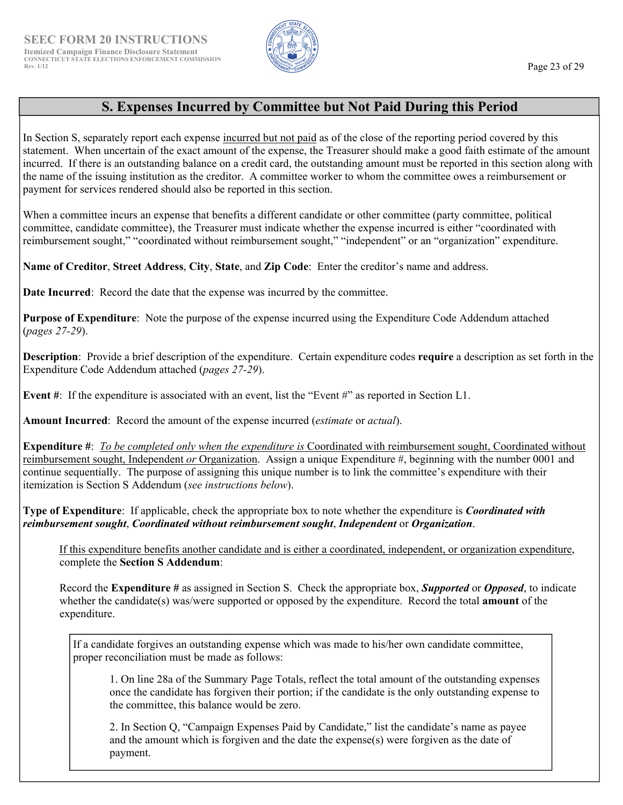

# **S. Expenses Incurred by Committee but Not Paid During this Period**

In Section S, separately report each expense incurred but not paid as of the close of the reporting period covered by this statement. When uncertain of the exact amount of the expense, the Treasurer should make a good faith estimate of the amount incurred. If there is an outstanding balance on a credit card, the outstanding amount must be reported in this section along with the name of the issuing institution as the creditor. A committee worker to whom the committee owes a reimbursement or payment for services rendered should also be reported in this section.

When a committee incurs an expense that benefits a different candidate or other committee (party committee, political committee, candidate committee), the Treasurer must indicate whether the expense incurred is either "coordinated with reimbursement sought," "coordinated without reimbursement sought," "independent" or an "organization" expenditure.

**Name of Creditor**, **Street Address**, **City**, **State**, and **Zip Code**: Enter the creditor's name and address.

**Date Incurred**: Record the date that the expense was incurred by the committee.

**Purpose of Expenditure**: Note the purpose of the expense incurred using the Expenditure Code Addendum attached (*pages 27-29*).

**Description**: Provide a brief description of the expenditure. Certain expenditure codes **require** a description as set forth in the Expenditure Code Addendum attached (*pages 27-29*).

**Event** #: If the expenditure is associated with an event, list the "Event #" as reported in Section L1.

**Amount Incurred**: Record the amount of the expense incurred (*estimate* or *actual*).

**Expenditure #**: *To be completed only when the expenditure is* Coordinated with reimbursement sought, Coordinated without reimbursement sought, Independent *or* Organization. Assign a unique Expenditure #, beginning with the number 0001 and continue sequentially. The purpose of assigning this unique number is to link the committee's expenditure with their itemization is Section S Addendum (*see instructions below*).

**Type of Expenditure**: If applicable, check the appropriate box to note whether the expenditure is *Coordinated with reimbursement sought*, *Coordinated without reimbursement sought*, *Independent* or *Organization*.

 If this expenditure benefits another candidate and is either a coordinated, independent, or organization expenditure, complete the **Section S Addendum**:

 Record the **Expenditure #** as assigned in Section S. Check the appropriate box, *Supported* or *Opposed*, to indicate whether the candidate(s) was/were supported or opposed by the expenditure. Record the total **amount** of the expenditure.

If a candidate forgives an outstanding expense which was made to his/her own candidate committee, proper reconciliation must be made as follows:

 1. On line 28a of the Summary Page Totals, reflect the total amount of the outstanding expenses once the candidate has forgiven their portion; if the candidate is the only outstanding expense to the committee, this balance would be zero.

 2. In Section Q, "Campaign Expenses Paid by Candidate," list the candidate's name as payee and the amount which is forgiven and the date the expense(s) were forgiven as the date of payment.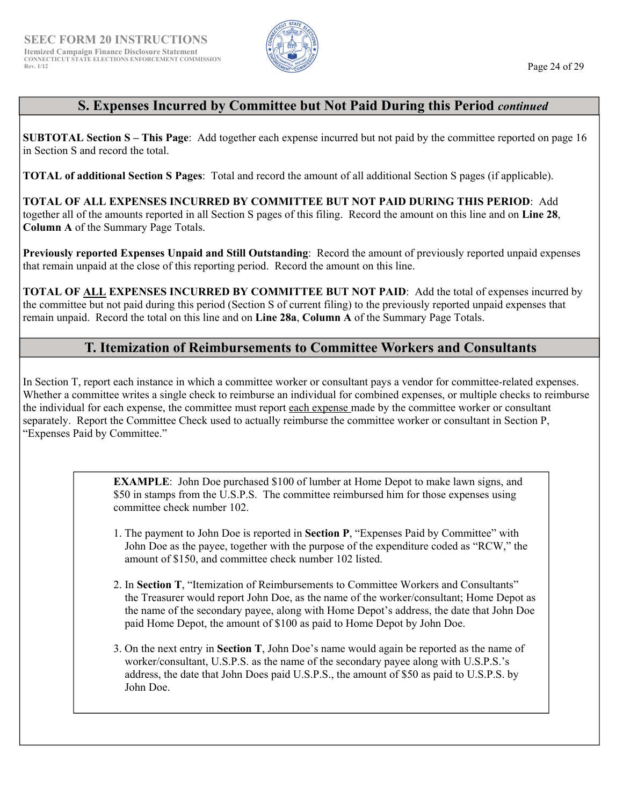

# **S. Expenses Incurred by Committee but Not Paid During this Period** *continued*

**SUBTOTAL Section S – This Page**: Add together each expense incurred but not paid by the committee reported on page 16 in Section S and record the total.

**TOTAL of additional Section S Pages**: Total and record the amount of all additional Section S pages (if applicable).

**TOTAL OF ALL EXPENSES INCURRED BY COMMITTEE BUT NOT PAID DURING THIS PERIOD**: Add together all of the amounts reported in all Section S pages of this filing. Record the amount on this line and on **Line 28**, **Column A** of the Summary Page Totals.

**Previously reported Expenses Unpaid and Still Outstanding**: Record the amount of previously reported unpaid expenses that remain unpaid at the close of this reporting period. Record the amount on this line.

**TOTAL OF ALL EXPENSES INCURRED BY COMMITTEE BUT NOT PAID**: Add the total of expenses incurred by the committee but not paid during this period (Section S of current filing) to the previously reported unpaid expenses that remain unpaid. Record the total on this line and on **Line 28a**, **Column A** of the Summary Page Totals.

# **T. Itemization of Reimbursements to Committee Workers and Consultants**

In Section T, report each instance in which a committee worker or consultant pays a vendor for committee-related expenses. Whether a committee writes a single check to reimburse an individual for combined expenses, or multiple checks to reimburse the individual for each expense, the committee must report each expense made by the committee worker or consultant separately. Report the Committee Check used to actually reimburse the committee worker or consultant in Section P, "Expenses Paid by Committee."

> **EXAMPLE**: John Doe purchased \$100 of lumber at Home Depot to make lawn signs, and \$50 in stamps from the U.S.P.S. The committee reimbursed him for those expenses using committee check number 102.

- 1. The payment to John Doe is reported in **Section P**, "Expenses Paid by Committee" with John Doe as the payee, together with the purpose of the expenditure coded as "RCW," the amount of \$150, and committee check number 102 listed.
- 2. In **Section T**, "Itemization of Reimbursements to Committee Workers and Consultants" the Treasurer would report John Doe, as the name of the worker/consultant; Home Depot as the name of the secondary payee, along with Home Depot's address, the date that John Doe paid Home Depot, the amount of \$100 as paid to Home Depot by John Doe.
- 3. On the next entry in **Section T**, John Doe's name would again be reported as the name of worker/consultant, U.S.P.S. as the name of the secondary payee along with U.S.P.S.'s address, the date that John Does paid U.S.P.S., the amount of \$50 as paid to U.S.P.S. by John Doe.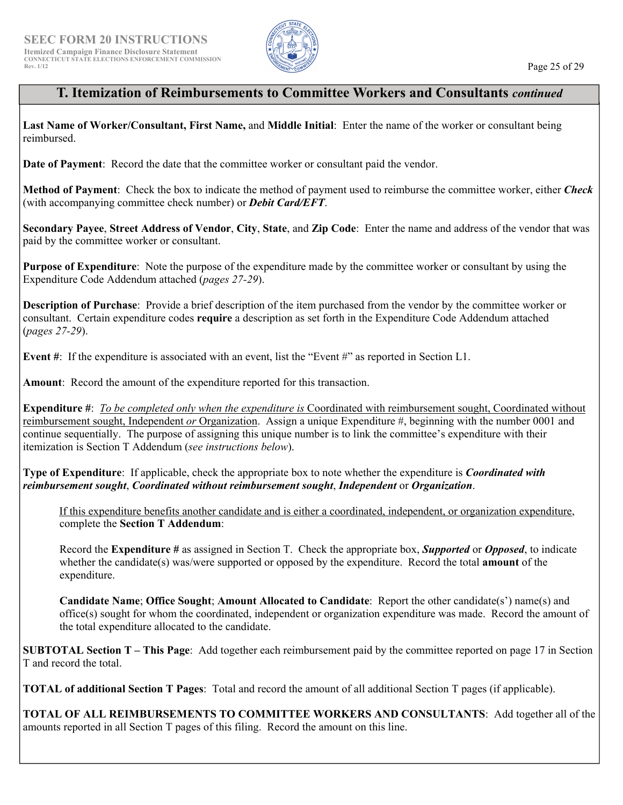

### **T. Itemization of Reimbursements to Committee Workers and Consultants** *continued*

**Last Name of Worker/Consultant, First Name,** and **Middle Initial**: Enter the name of the worker or consultant being reimbursed.

**Date of Payment**: Record the date that the committee worker or consultant paid the vendor.

**Method of Payment**: Check the box to indicate the method of payment used to reimburse the committee worker, either *Check* (with accompanying committee check number) or *Debit Card/EFT*.

**Secondary Payee**, **Street Address of Vendor**, **City**, **State**, and **Zip Code**: Enter the name and address of the vendor that was paid by the committee worker or consultant.

**Purpose of Expenditure**: Note the purpose of the expenditure made by the committee worker or consultant by using the Expenditure Code Addendum attached (*pages 27-29*).

**Description of Purchase**: Provide a brief description of the item purchased from the vendor by the committee worker or consultant. Certain expenditure codes **require** a description as set forth in the Expenditure Code Addendum attached (*pages 27-29*).

**Event** #: If the expenditure is associated with an event, list the "Event #" as reported in Section L1.

**Amount**: Record the amount of the expenditure reported for this transaction.

**Expenditure #**: *To be completed only when the expenditure is* Coordinated with reimbursement sought, Coordinated without reimbursement sought, Independent *or* Organization. Assign a unique Expenditure #, beginning with the number 0001 and continue sequentially. The purpose of assigning this unique number is to link the committee's expenditure with their itemization is Section T Addendum (*see instructions below*).

**Type of Expenditure**: If applicable, check the appropriate box to note whether the expenditure is *Coordinated with reimbursement sought*, *Coordinated without reimbursement sought*, *Independent* or *Organization*.

 If this expenditure benefits another candidate and is either a coordinated, independent, or organization expenditure, complete the **Section T Addendum**:

 Record the **Expenditure #** as assigned in Section T. Check the appropriate box, *Supported* or *Opposed*, to indicate whether the candidate(s) was/were supported or opposed by the expenditure. Record the total **amount** of the expenditure.

 **Candidate Name**; **Office Sought**; **Amount Allocated to Candidate**: Report the other candidate(s') name(s) and office(s) sought for whom the coordinated, independent or organization expenditure was made. Record the amount of the total expenditure allocated to the candidate.

**SUBTOTAL Section T – This Page**: Add together each reimbursement paid by the committee reported on page 17 in Section T and record the total.

**TOTAL of additional Section T Pages**: Total and record the amount of all additional Section T pages (if applicable).

**TOTAL OF ALL REIMBURSEMENTS TO COMMITTEE WORKERS AND CONSULTANTS**: Add together all of the amounts reported in all Section T pages of this filing. Record the amount on this line.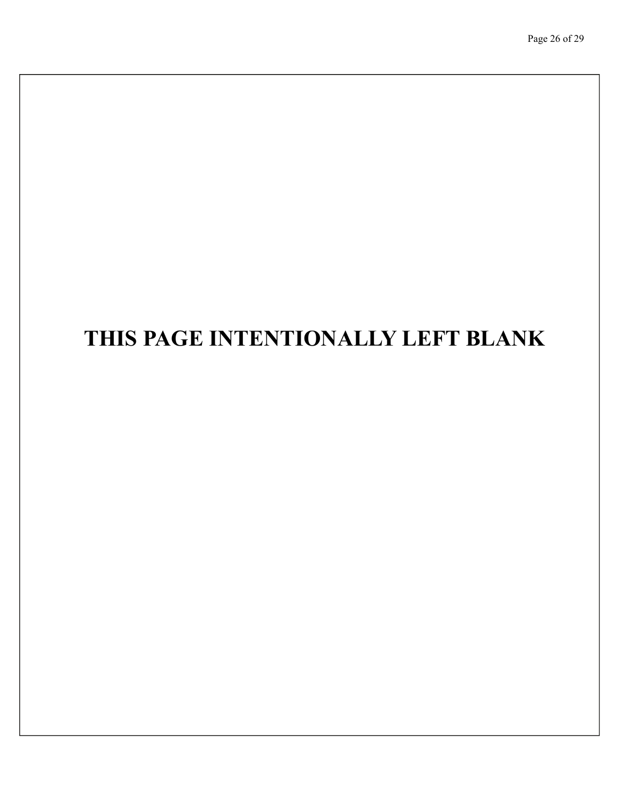# **THIS PAGE INTENTIONALLY LEFT BLANK**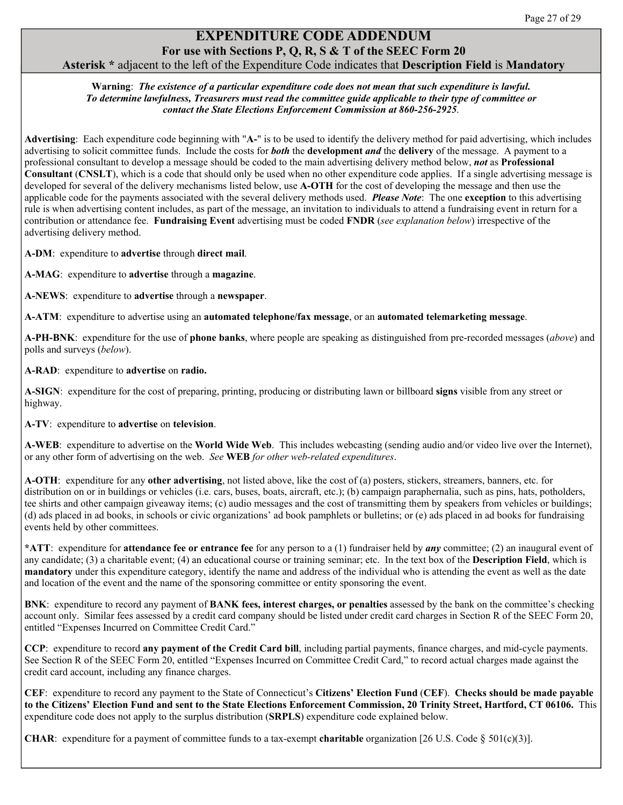# **EXPENDITURE CODE ADDENDUM**

# **For use with Sections P, Q, R, S & T of the SEEC Form 20**<br>**Asterisk** \* adjacent to the left of the Expenditure Code indicates that **Description Field** is **Mandatory**

**Warning**: *The existence of a particular expenditure code does not mean that such expenditure is lawful. To determine lawfulness, Treasurers must read the committee guide applicable to their type of committee or contact the State Elections Enforcement Commission at 860-256-2925*.

**Advertising**:Each expenditure code beginning with "**A-**" is to be used to identify the delivery method for paid advertising, which includes advertising to solicit committee funds. Include the costs for *both* the **development** *and* the **delivery** of the message. A payment to a professional consultant to develop a message should be coded to the main advertising delivery method below, *not* as **Professional Consultant** (**CNSLT**), which is a code that should only be used when no other expenditure code applies. If a single advertising message is developed for several of the delivery mechanisms listed below, use **A-OTH** for the cost of developing the message and then use the applicable code for the payments associated with the several delivery methods used. *Please Note*: The one **exception** to this advertising rule is when advertising content includes, as part of the message, an invitation to individuals to attend a fundraising event in return for a contribution or attendance fee. **Fundraising Event** advertising must be coded **FNDR** (*see explanation below*) irrespective of the advertising delivery method.

**A-DM**: expenditure to **advertise** through **direct mail**.

**A-MAG**: expenditure to **advertise** through a **magazine**.

**A-NEWS**:expenditure to **advertise** through a **newspaper**.

**A-ATM**: expenditure to advertise using an **automated telephone/fax message**, or an **automated telemarketing message**.

**A-PH-BNK**: expenditure for the use of **phone banks**, where people are speaking as distinguished from pre-recorded messages (*above*) and polls and surveys (*below*).

**A-RAD**:expenditure to **advertise** on **radio.** 

**A-SIGN**: expenditure for the cost of preparing, printing, producing or distributing lawn or billboard **signs** visible from any street or highway.

**A-TV**: expenditure to **advertise** on **television**.

**A-WEB**: expenditure to advertise on the **World Wide Web**. This includes webcasting (sending audio and/or video live over the Internet), or any other form of advertising on the web. *See* **WEB** *for other web-related expenditures*.

**A-OTH**: expenditure for any **other advertising**, not listed above, like the cost of (a) posters, stickers, streamers, banners, etc. for distribution on or in buildings or vehicles (i.e. cars, buses, boats, aircraft, etc.); (b) campaign paraphernalia, such as pins, hats, potholders, tee shirts and other campaign giveaway items; (c) audio messages and the cost of transmitting them by speakers from vehicles or buildings; (d) ads placed in ad books, in schools or civic organizations' ad book pamphlets or bulletins; or (e) ads placed in ad books for fundraising events held by other committees.

**\*ATT**:expenditure for **attendance fee or entrance fee** for any person to a (1) fundraiser held by *any* committee; (2) an inaugural event of any candidate; (3) a charitable event; (4) an educational course or training seminar; etc. In the text box of the **Description Field**, which is **mandatory** under this expenditure category, identify the name and address of the individual who is attending the event as well as the date and location of the event and the name of the sponsoring committee or entity sponsoring the event.

**BNK**:expenditure to record any payment of **BANK fees, interest charges, or penalties** assessed by the bank on the committee's checking account only. Similar fees assessed by a credit card company should be listed under credit card charges in Section R of the SEEC Form 20, entitled "Expenses Incurred on Committee Credit Card."

**CCP**:expenditure to record **any payment of the Credit Card bill**, including partial payments, finance charges, and mid-cycle payments. See Section R of the SEEC Form 20, entitled "Expenses Incurred on Committee Credit Card," to record actual charges made against the credit card account, including any finance charges.

**CEF**:expenditure to record any payment to the State of Connecticut's **Citizens' Election Fund** (**CEF**). **Checks should be made payable to the Citizens' Election Fund and sent to the State Elections Enforcement Commission, 20 Trinity Street, Hartford, CT 06106.** This expenditure code does not apply to the surplus distribution (**SRPLS**) expenditure code explained below.

**CHAR:** expenditure for a payment of committee funds to a tax-exempt **charitable** organization [26 U.S. Code  $\S$  501(c)(3)].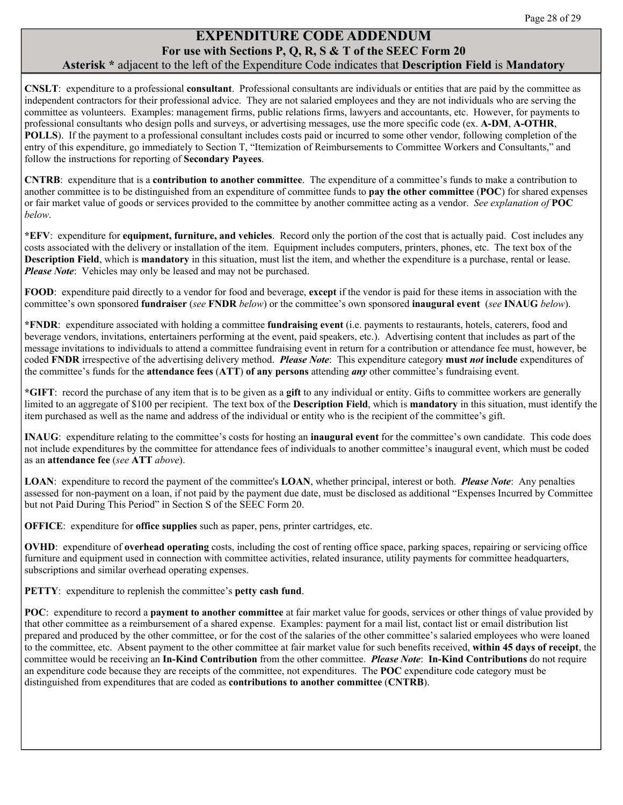# **EXPENDITURE CODE ADDENDUM**

# **For use with Sections P, Q, R, S & T of the SEEC Form 20**<br>**Asterisk** \* adjacent to the left of the Expenditure Code indicates that **Description Field** is **Mandatory**

**CNSLT**:expenditure to a professional **consultant**.Professional consultants are individuals or entities that are paid by the committee as independent contractors for their professional advice. They are not salaried employees and they are not individuals who are serving the committee as volunteers. Examples: management firms, public relations firms, lawyers and accountants, etc. However, for payments to professional consultants who design polls and surveys, or advertising messages, use the more specific code (ex. **A-DM**, **A-OTHR**, **POLLS**). If the payment to a professional consultant includes costs paid or incurred to some other vendor, following completion of the entry of this expenditure, go immediately to Section T, "Itemization of Reimbursements to Committee Workers and Consultants," and follow the instructions for reporting of **Secondary Payees**.

**CNTRB**:expenditure that is a **contribution to another committee**. The expenditure of a committee's funds to make a contribution to another committee is to be distinguished from an expenditure of committee funds to **pay the other committee** (**POC**) for shared expenses or fair market value of goods or services provided to the committee by another committee acting as a vendor. *See explanation of* **POC**  *below*.

**\*EFV**: expenditure for **equipment, furniture, and vehicles**. Record only the portion of the cost that is actually paid. Cost includes any costs associated with the delivery or installation of the item. Equipment includes computers, printers, phones, etc. The text box of the **Description Field**, which is **mandatory** in this situation, must list the item, and whether the expenditure is a purchase, rental or lease. *Please Note*: Vehicles may only be leased and may not be purchased.

**FOOD**:expenditure paid directly to a vendor for food and beverage, **except** if the vendor is paid for these items in association with the committee's own sponsored **fundraiser** (*see* **FNDR** *below*) or the committee's own sponsored **inaugural event** (*see* **INAUG** *below*).

**\*FNDR**:expenditure associated with holding a committee **fundraising event** (i.e. payments to restaurants, hotels, caterers, food and beverage vendors, invitations, entertainers performing at the event, paid speakers, etc.). Advertising content that includes as part of the message invitations to individuals to attend a committee fundraising event in return for a contribution or attendance fee must, however, be coded **FNDR** irrespective of the advertising delivery method. *Please Note*: This expenditure category **must** *not* **include** expenditures of the committee's funds for the **attendance fees** (**ATT**) **of any persons** attending *any* other committee's fundraising event.

**\*GIFT**:record the purchase of any item that is to be given as a **gift** to any individual or entity. Gifts to committee workers are generally limited to an aggregate of \$100 per recipient. The text box of the **Description Field**, which is **mandatory** in this situation, must identify the item purchased as well as the name and address of the individual or entity who is the recipient of the committee's gift.

**INAUG**:expenditure relating to the committee's costs for hosting an **inaugural event** for the committee's own candidate. This code does not include expenditures by the committee for attendance fees of individuals to another committee's inaugural event, which must be coded as an **attendance fee** (*see* **ATT** *above*).

**LOAN**:expenditure to record the payment of the committee's **LOAN**, whether principal, interest or both. *Please Note*: Any penalties assessed for non-payment on a loan, if not paid by the payment due date, must be disclosed as additional "Expenses Incurred by Committee but not Paid During This Period" in Section S of the SEEC Form 20.

**OFFICE**:expenditure for **office supplies** such as paper, pens, printer cartridges, etc.

**OVHD**: expenditure of **overhead operating** costs, including the cost of renting office space, parking spaces, repairing or servicing office furniture and equipment used in connection with committee activities, related insurance, utility payments for committee headquarters, subscriptions and similar overhead operating expenses.

**PETTY**: expenditure to replenish the committee's **petty cash fund**.

**POC**: expenditure to record a **payment to another committee** at fair market value for goods, services or other things of value provided by that other committee as a reimbursement of a shared expense. Examples: payment for a mail list, contact list or email distribution list prepared and produced by the other committee, or for the cost of the salaries of the other committee's salaried employees who were loaned to the committee, etc. Absent payment to the other committee at fair market value for such benefits received, **within 45 days of receipt**, the committee would be receiving an **In-Kind Contribution** from the other committee. *Please Note*: **In-Kind Contributions** do not require an expenditure code because they are receipts of the committee, not expenditures. The **POC** expenditure code category must be distinguished from expenditures that are coded as **contributions to another committee** (**CNTRB**).